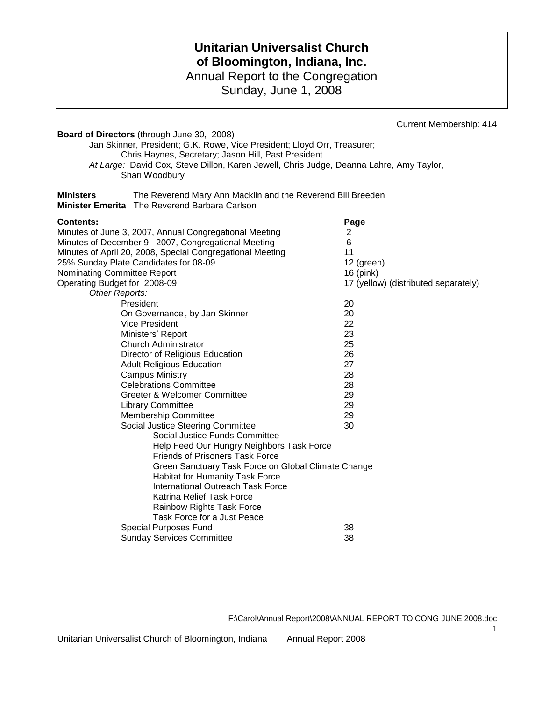# **Unitarian Universalist Church of Bloomington, Indiana, Inc.** Annual Report to the Congregation

Sunday, June 1, 2008

Current Membership: 414

| <b>Board of Directors</b> (through June 30, 2008)                                                                                |                                      |
|----------------------------------------------------------------------------------------------------------------------------------|--------------------------------------|
| Jan Skinner, President; G.K. Rowe, Vice President; Lloyd Orr, Treasurer;                                                         |                                      |
| Chris Haynes, Secretary; Jason Hill, Past President                                                                              |                                      |
| At Large: David Cox, Steve Dillon, Karen Jewell, Chris Judge, Deanna Lahre, Amy Taylor,                                          |                                      |
| Shari Woodbury                                                                                                                   |                                      |
|                                                                                                                                  |                                      |
| The Reverend Mary Ann Macklin and the Reverend Bill Breeden<br><b>Ministers</b><br>Minister Emerita The Reverend Barbara Carlson |                                      |
| <b>Contents:</b>                                                                                                                 | Page                                 |
| Minutes of June 3, 2007, Annual Congregational Meeting                                                                           | 2                                    |
| Minutes of December 9, 2007, Congregational Meeting                                                                              | 6                                    |
| Minutes of April 20, 2008, Special Congregational Meeting                                                                        | 11                                   |
| 25% Sunday Plate Candidates for 08-09                                                                                            | 12 (green)                           |
| Nominating Committee Report                                                                                                      | 16 (pink)                            |
| Operating Budget for 2008-09                                                                                                     | 17 (yellow) (distributed separately) |
| Other Reports:                                                                                                                   |                                      |
| President                                                                                                                        | 20                                   |
| On Governance, by Jan Skinner                                                                                                    | 20                                   |
| <b>Vice President</b>                                                                                                            | 22                                   |
| Ministers' Report                                                                                                                | 23                                   |
| <b>Church Administrator</b>                                                                                                      | 25                                   |
| Director of Religious Education                                                                                                  | 26                                   |
| <b>Adult Religious Education</b>                                                                                                 | 27                                   |
| <b>Campus Ministry</b>                                                                                                           | 28                                   |
| <b>Celebrations Committee</b>                                                                                                    | 28                                   |
| Greeter & Welcomer Committee                                                                                                     | 29                                   |
| <b>Library Committee</b>                                                                                                         | 29                                   |
| <b>Membership Committee</b>                                                                                                      | 29                                   |
| Social Justice Steering Committee                                                                                                | 30                                   |
| Social Justice Funds Committee                                                                                                   |                                      |
| Help Feed Our Hungry Neighbors Task Force                                                                                        |                                      |
| <b>Friends of Prisoners Task Force</b>                                                                                           |                                      |
| Green Sanctuary Task Force on Global Climate Change                                                                              |                                      |
| Habitat for Humanity Task Force<br><b>International Outreach Task Force</b>                                                      |                                      |
| Katrina Relief Task Force                                                                                                        |                                      |
|                                                                                                                                  |                                      |
| Rainbow Rights Task Force<br>Task Force for a Just Peace                                                                         |                                      |
|                                                                                                                                  | 38                                   |
| <b>Special Purposes Fund</b>                                                                                                     |                                      |
| <b>Sunday Services Committee</b>                                                                                                 | 38                                   |

F:\Carol\Annual Report\2008\ANNUAL REPORT TO CONG JUNE 2008.doc

1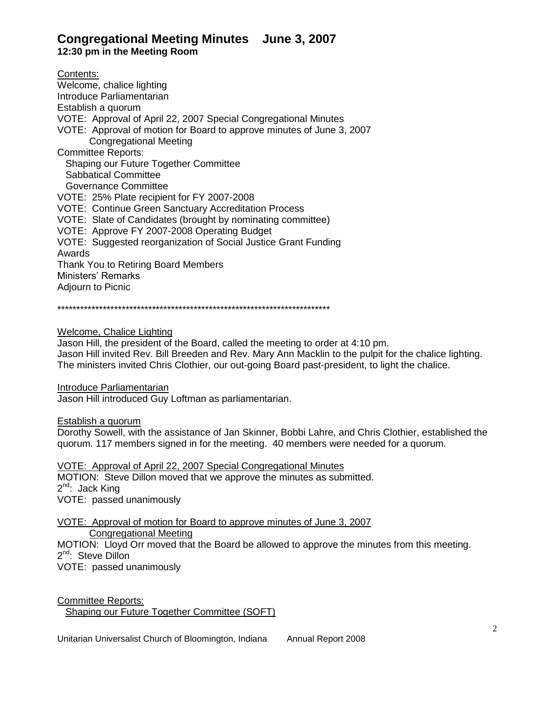# **Congregational Meeting Minutes June 3, 2007**

**12:30 pm in the Meeting Room**

Contents: Welcome, chalice lighting Introduce Parliamentarian Establish a quorum VOTE: Approval of April 22, 2007 Special Congregational Minutes VOTE: Approval of motion for Board to approve minutes of June 3, 2007 Congregational Meeting Committee Reports: Shaping our Future Together Committee Sabbatical Committee Governance Committee VOTE: 25% Plate recipient for FY 2007-2008 VOTE: Continue Green Sanctuary Accreditation Process VOTE: Slate of Candidates (brought by nominating committee) VOTE: Approve FY 2007-2008 Operating Budget VOTE: Suggested reorganization of Social Justice Grant Funding Awards Thank You to Retiring Board Members Ministers' Remarks Adjourn to Picnic

\*\*\*\*\*\*\*\*\*\*\*\*\*\*\*\*\*\*\*\*\*\*\*\*\*\*\*\*\*\*\*\*\*\*\*\*\*\*\*\*\*\*\*\*\*\*\*\*\*\*\*\*\*\*\*\*\*\*\*\*\*\*\*\*\*\*\*\*\*\*\*\*

Welcome, Chalice Lighting

Jason Hill, the president of the Board, called the meeting to order at 4:10 pm. Jason Hill invited Rev. Bill Breeden and Rev. Mary Ann Macklin to the pulpit for the chalice lighting. The ministers invited Chris Clothier, our out-going Board past-president, to light the chalice.

Introduce Parliamentarian

Jason Hill introduced Guy Loftman as parliamentarian.

Establish a quorum

Dorothy Sowell, with the assistance of Jan Skinner, Bobbi Lahre, and Chris Clothier, established the quorum. 117 members signed in for the meeting. 40 members were needed for a quorum.

VOTE: Approval of April 22, 2007 Special Congregational Minutes MOTION: Steve Dillon moved that we approve the minutes as submitted. 2<sup>nd</sup>: Jack King VOTE: passed unanimously

VOTE: Approval of motion for Board to approve minutes of June 3, 2007 Congregational Meeting MOTION: Lloyd Orr moved that the Board be allowed to approve the minutes from this meeting. 2<sup>nd</sup>: Steve Dillon

VOTE: passed unanimously

Committee Reports: Shaping our Future Together Committee (SOFT)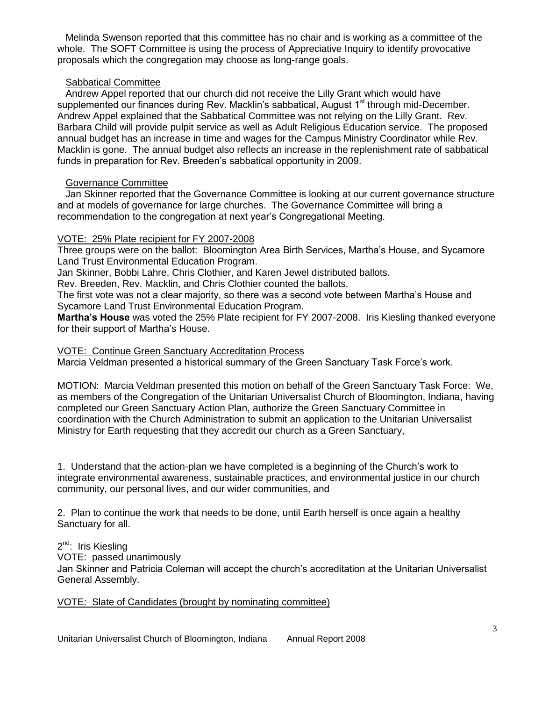Melinda Swenson reported that this committee has no chair and is working as a committee of the whole. The SOFT Committee is using the process of Appreciative Inquiry to identify provocative proposals which the congregation may choose as long-range goals.

### Sabbatical Committee

 Andrew Appel reported that our church did not receive the Lilly Grant which would have supplemented our finances during Rev. Macklin's sabbatical, August 1<sup>st</sup> through mid-December. Andrew Appel explained that the Sabbatical Committee was not relying on the Lilly Grant. Rev. Barbara Child will provide pulpit service as well as Adult Religious Education service. The proposed annual budget has an increase in time and wages for the Campus Ministry Coordinator while Rev. Macklin is gone. The annual budget also reflects an increase in the replenishment rate of sabbatical funds in preparation for Rev. Breeden's sabbatical opportunity in 2009.

### Governance Committee

 Jan Skinner reported that the Governance Committee is looking at our current governance structure and at models of governance for large churches. The Governance Committee will bring a recommendation to the congregation at next year's Congregational Meeting.

#### VOTE: 25% Plate recipient for FY 2007-2008

Three groups were on the ballot: Bloomington Area Birth Services, Martha's House, and Sycamore Land Trust Environmental Education Program.

Jan Skinner, Bobbi Lahre, Chris Clothier, and Karen Jewel distributed ballots.

Rev. Breeden, Rev. Macklin, and Chris Clothier counted the ballots.

The first vote was not a clear majority, so there was a second vote between Martha's House and Sycamore Land Trust Environmental Education Program.

**Martha's House** was voted the 25% Plate recipient for FY 2007-2008. Iris Kiesling thanked everyone for their support of Martha's House.

#### VOTE: Continue Green Sanctuary Accreditation Process

Marcia Veldman presented a historical summary of the Green Sanctuary Task Force's work.

MOTION: Marcia Veldman presented this motion on behalf of the Green Sanctuary Task Force: We, as members of the Congregation of the Unitarian Universalist Church of Bloomington, Indiana, having completed our Green Sanctuary Action Plan, authorize the Green Sanctuary Committee in coordination with the Church Administration to submit an application to the Unitarian Universalist Ministry for Earth requesting that they accredit our church as a Green Sanctuary,

1. Understand that the action-plan we have completed is a beginning of the Church's work to integrate environmental awareness, sustainable practices, and environmental justice in our church community, our personal lives, and our wider communities, and

2. Plan to continue the work that needs to be done, until Earth herself is once again a healthy Sanctuary for all.

2<sup>nd</sup>: Iris Kiesling

VOTE: passed unanimously

Jan Skinner and Patricia Coleman will accept the church's accreditation at the Unitarian Universalist General Assembly.

### VOTE: Slate of Candidates (brought by nominating committee)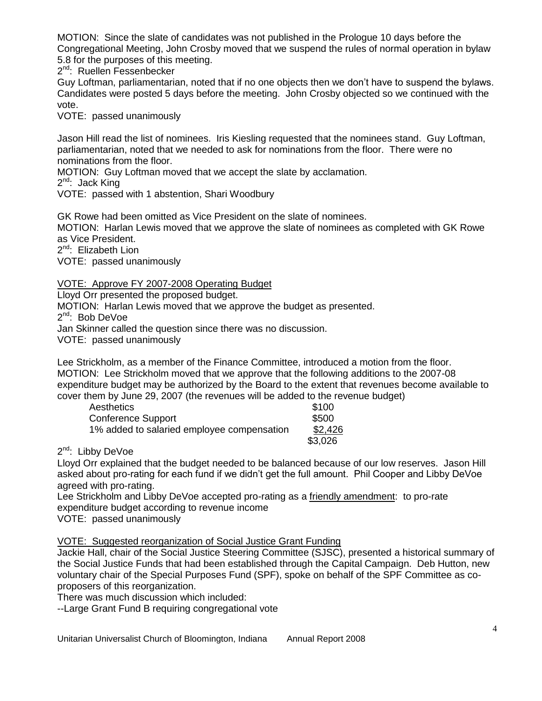MOTION: Since the slate of candidates was not published in the Prologue 10 days before the Congregational Meeting, John Crosby moved that we suspend the rules of normal operation in bylaw 5.8 for the purposes of this meeting.

2<sup>nd</sup>: Ruellen Fessenbecker

Guy Loftman, parliamentarian, noted that if no one objects then we don't have to suspend the bylaws. Candidates were posted 5 days before the meeting. John Crosby objected so we continued with the vote.

VOTE: passed unanimously

Jason Hill read the list of nominees. Iris Kiesling requested that the nominees stand. Guy Loftman, parliamentarian, noted that we needed to ask for nominations from the floor. There were no nominations from the floor.

MOTION: Guy Loftman moved that we accept the slate by acclamation.

2<sup>nd</sup>: Jack King

VOTE: passed with 1 abstention, Shari Woodbury

GK Rowe had been omitted as Vice President on the slate of nominees. MOTION: Harlan Lewis moved that we approve the slate of nominees as completed with GK Rowe as Vice President.

2<sup>nd</sup>: Elizabeth Lion

VOTE: passed unanimously

# VOTE: Approve FY 2007-2008 Operating Budget

Lloyd Orr presented the proposed budget.

MOTION: Harlan Lewis moved that we approve the budget as presented.

2<sup>nd</sup>: Bob DeVoe

Jan Skinner called the question since there was no discussion.

VOTE: passed unanimously

Lee Strickholm, as a member of the Finance Committee, introduced a motion from the floor. MOTION: Lee Strickholm moved that we approve that the following additions to the 2007-08 expenditure budget may be authorized by the Board to the extent that revenues become available to cover them by June 29, 2007 (the revenues will be added to the revenue budget)

| Aesthetics                                 | \$100   |
|--------------------------------------------|---------|
| Conference Support                         | \$500   |
| 1% added to salaried employee compensation | \$2,426 |
|                                            | \$3,026 |

2<sup>nd</sup>: Libby DeVoe

Lloyd Orr explained that the budget needed to be balanced because of our low reserves. Jason Hill asked about pro-rating for each fund if we didn't get the full amount. Phil Cooper and Libby DeVoe agreed with pro-rating.

Lee Strickholm and Libby DeVoe accepted pro-rating as a friendly amendment: to pro-rate expenditure budget according to revenue income

VOTE: passed unanimously

VOTE: Suggested reorganization of Social Justice Grant Funding

Jackie Hall, chair of the Social Justice Steering Committee (SJSC), presented a historical summary of the Social Justice Funds that had been established through the Capital Campaign. Deb Hutton, new voluntary chair of the Special Purposes Fund (SPF), spoke on behalf of the SPF Committee as coproposers of this reorganization.

There was much discussion which included:

--Large Grant Fund B requiring congregational vote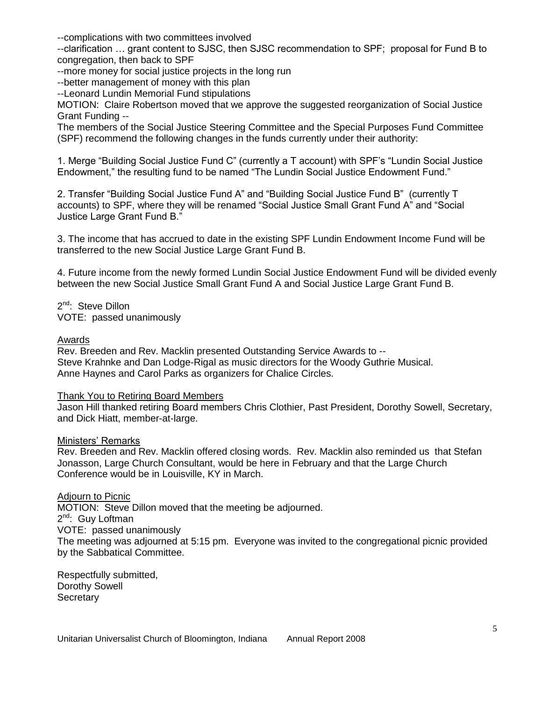--complications with two committees involved

--clarification … grant content to SJSC, then SJSC recommendation to SPF; proposal for Fund B to congregation, then back to SPF

--more money for social justice projects in the long run

--better management of money with this plan

--Leonard Lundin Memorial Fund stipulations

MOTION: Claire Robertson moved that we approve the suggested reorganization of Social Justice Grant Funding --

The members of the Social Justice Steering Committee and the Special Purposes Fund Committee (SPF) recommend the following changes in the funds currently under their authority:

1. Merge "Building Social Justice Fund C" (currently a T account) with SPF's "Lundin Social Justice Endowment," the resulting fund to be named "The Lundin Social Justice Endowment Fund."

2. Transfer "Building Social Justice Fund A" and "Building Social Justice Fund B" (currently T accounts) to SPF, where they will be renamed "Social Justice Small Grant Fund A" and "Social Justice Large Grant Fund B.‖

3. The income that has accrued to date in the existing SPF Lundin Endowment Income Fund will be transferred to the new Social Justice Large Grant Fund B.

4. Future income from the newly formed Lundin Social Justice Endowment Fund will be divided evenly between the new Social Justice Small Grant Fund A and Social Justice Large Grant Fund B.

2<sup>nd</sup>: Steve Dillon VOTE: passed unanimously

#### Awards

Rev. Breeden and Rev. Macklin presented Outstanding Service Awards to -- Steve Krahnke and Dan Lodge-Rigal as music directors for the Woody Guthrie Musical. Anne Haynes and Carol Parks as organizers for Chalice Circles.

### Thank You to Retiring Board Members

Jason Hill thanked retiring Board members Chris Clothier, Past President, Dorothy Sowell, Secretary, and Dick Hiatt, member-at-large.

#### Ministers' Remarks

Rev. Breeden and Rev. Macklin offered closing words. Rev. Macklin also reminded us that Stefan Jonasson, Large Church Consultant, would be here in February and that the Large Church Conference would be in Louisville, KY in March.

### Adjourn to Picnic

MOTION: Steve Dillon moved that the meeting be adjourned. 2<sup>nd</sup>: Guy Loftman VOTE: passed unanimously The meeting was adjourned at 5:15 pm. Everyone was invited to the congregational picnic provided by the Sabbatical Committee.

Respectfully submitted, Dorothy Sowell **Secretary**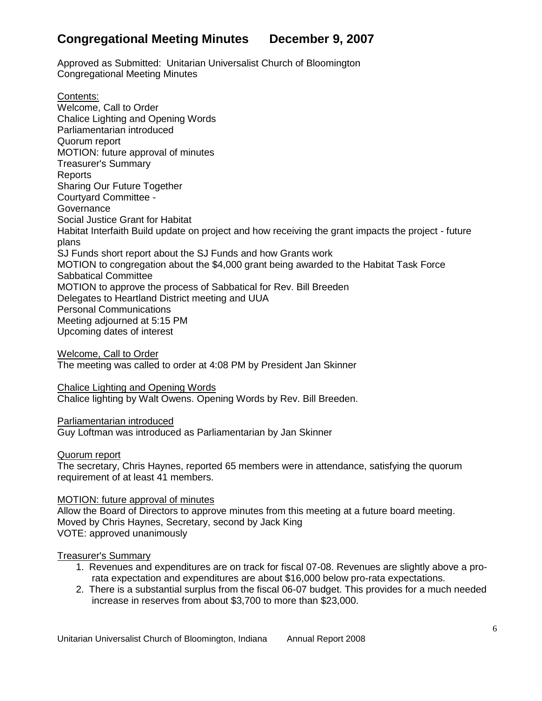# **Congregational Meeting Minutes December 9, 2007**

Approved as Submitted: Unitarian Universalist Church of Bloomington Congregational Meeting Minutes

Contents: [Welcome, Call to Order](http://us.f333.mail.yahoo.com/ym/ShowLetter?box=Board%20Minutes&MsgId=3558_0_1122_4230_30575_0_11890_103683_3329003089_oSObkYn4Ur5HQVvwmWzmsc02s8sBsv7HCn0Aep.Vqbe_1hzfUEc.E9F3nJ0aKBTJn0f7Cr919Zu.xmd1kD1WG6lZV8Hv7SiV3PBTRpsgwqNimRiwH7jeFgUSfkWd33NtZF9A0vhCeyvBLsGcKlDUyLD3rLGh_AplxVY-&num=&Search=&YY=49880&y5beta=yes&y5beta=yes&order=down&sort=date&pos=0&view=a&head=b&Idx=2#welcome-call-to-order) [Chalice Lighting and Opening Words](http://us.f333.mail.yahoo.com/ym/ShowLetter?box=Board%20Minutes&MsgId=3558_0_1122_4230_30575_0_11890_103683_3329003089_oSObkYn4Ur5HQVvwmWzmsc02s8sBsv7HCn0Aep.Vqbe_1hzfUEc.E9F3nJ0aKBTJn0f7Cr919Zu.xmd1kD1WG6lZV8Hv7SiV3PBTRpsgwqNimRiwH7jeFgUSfkWd33NtZF9A0vhCeyvBLsGcKlDUyLD3rLGh_AplxVY-&num=&Search=&YY=49880&y5beta=yes&y5beta=yes&order=down&sort=date&pos=0&view=a&head=b&Idx=2#chalice-lighting-and-opening-words) [Parliamentarian introduced](http://us.f333.mail.yahoo.com/ym/ShowLetter?box=Board%20Minutes&MsgId=3558_0_1122_4230_30575_0_11890_103683_3329003089_oSObkYn4Ur5HQVvwmWzmsc02s8sBsv7HCn0Aep.Vqbe_1hzfUEc.E9F3nJ0aKBTJn0f7Cr919Zu.xmd1kD1WG6lZV8Hv7SiV3PBTRpsgwqNimRiwH7jeFgUSfkWd33NtZF9A0vhCeyvBLsGcKlDUyLD3rLGh_AplxVY-&num=&Search=&YY=49880&y5beta=yes&y5beta=yes&order=down&sort=date&pos=0&view=a&head=b&Idx=2#parliamentarian-introduced) [Quorum report](http://us.f333.mail.yahoo.com/ym/ShowLetter?box=Board%20Minutes&MsgId=3558_0_1122_4230_30575_0_11890_103683_3329003089_oSObkYn4Ur5HQVvwmWzmsc02s8sBsv7HCn0Aep.Vqbe_1hzfUEc.E9F3nJ0aKBTJn0f7Cr919Zu.xmd1kD1WG6lZV8Hv7SiV3PBTRpsgwqNimRiwH7jeFgUSfkWd33NtZF9A0vhCeyvBLsGcKlDUyLD3rLGh_AplxVY-&num=&Search=&YY=49880&y5beta=yes&y5beta=yes&order=down&sort=date&pos=0&view=a&head=b&Idx=2#quorum-report) [MOTION: future approval of minutes](http://us.f333.mail.yahoo.com/ym/ShowLetter?box=Board%20Minutes&MsgId=3558_0_1122_4230_30575_0_11890_103683_3329003089_oSObkYn4Ur5HQVvwmWzmsc02s8sBsv7HCn0Aep.Vqbe_1hzfUEc.E9F3nJ0aKBTJn0f7Cr919Zu.xmd1kD1WG6lZV8Hv7SiV3PBTRpsgwqNimRiwH7jeFgUSfkWd33NtZF9A0vhCeyvBLsGcKlDUyLD3rLGh_AplxVY-&num=&Search=&YY=49880&y5beta=yes&y5beta=yes&order=down&sort=date&pos=0&view=a&head=b&Idx=2#motion-future-approval-of-minutes) [Treasurer's Summary](http://us.f333.mail.yahoo.com/ym/ShowLetter?box=Board%20Minutes&MsgId=3558_0_1122_4230_30575_0_11890_103683_3329003089_oSObkYn4Ur5HQVvwmWzmsc02s8sBsv7HCn0Aep.Vqbe_1hzfUEc.E9F3nJ0aKBTJn0f7Cr919Zu.xmd1kD1WG6lZV8Hv7SiV3PBTRpsgwqNimRiwH7jeFgUSfkWd33NtZF9A0vhCeyvBLsGcKlDUyLD3rLGh_AplxVY-&num=&Search=&YY=49880&y5beta=yes&y5beta=yes&order=down&sort=date&pos=0&view=a&head=b&Idx=2#treasurer-s-summary) [Reports](http://us.f333.mail.yahoo.com/ym/ShowLetter?box=Board%20Minutes&MsgId=3558_0_1122_4230_30575_0_11890_103683_3329003089_oSObkYn4Ur5HQVvwmWzmsc02s8sBsv7HCn0Aep.Vqbe_1hzfUEc.E9F3nJ0aKBTJn0f7Cr919Zu.xmd1kD1WG6lZV8Hv7SiV3PBTRpsgwqNimRiwH7jeFgUSfkWd33NtZF9A0vhCeyvBLsGcKlDUyLD3rLGh_AplxVY-&num=&Search=&YY=49880&y5beta=yes&y5beta=yes&order=down&sort=date&pos=0&view=a&head=b&Idx=2#reports) [Sharing Our Future Together](http://us.f333.mail.yahoo.com/ym/ShowLetter?box=Board%20Minutes&MsgId=3558_0_1122_4230_30575_0_11890_103683_3329003089_oSObkYn4Ur5HQVvwmWzmsc02s8sBsv7HCn0Aep.Vqbe_1hzfUEc.E9F3nJ0aKBTJn0f7Cr919Zu.xmd1kD1WG6lZV8Hv7SiV3PBTRpsgwqNimRiwH7jeFgUSfkWd33NtZF9A0vhCeyvBLsGcKlDUyLD3rLGh_AplxVY-&num=&Search=&YY=49880&y5beta=yes&y5beta=yes&order=down&sort=date&pos=0&view=a&head=b&Idx=2#sharing-our-future-together) [Courtyard Committee -](http://us.f333.mail.yahoo.com/ym/ShowLetter?box=Board%20Minutes&MsgId=3558_0_1122_4230_30575_0_11890_103683_3329003089_oSObkYn4Ur5HQVvwmWzmsc02s8sBsv7HCn0Aep.Vqbe_1hzfUEc.E9F3nJ0aKBTJn0f7Cr919Zu.xmd1kD1WG6lZV8Hv7SiV3PBTRpsgwqNimRiwH7jeFgUSfkWd33NtZF9A0vhCeyvBLsGcKlDUyLD3rLGh_AplxVY-&num=&Search=&YY=49880&y5beta=yes&y5beta=yes&order=down&sort=date&pos=0&view=a&head=b&Idx=2#courtyard-committee) **[Governance](http://us.f333.mail.yahoo.com/ym/ShowLetter?box=Board%20Minutes&MsgId=3558_0_1122_4230_30575_0_11890_103683_3329003089_oSObkYn4Ur5HQVvwmWzmsc02s8sBsv7HCn0Aep.Vqbe_1hzfUEc.E9F3nJ0aKBTJn0f7Cr919Zu.xmd1kD1WG6lZV8Hv7SiV3PBTRpsgwqNimRiwH7jeFgUSfkWd33NtZF9A0vhCeyvBLsGcKlDUyLD3rLGh_AplxVY-&num=&Search=&YY=49880&y5beta=yes&y5beta=yes&order=down&sort=date&pos=0&view=a&head=b&Idx=2#governance)** [Social Justice Grant for Habitat](http://us.f333.mail.yahoo.com/ym/ShowLetter?box=Board%20Minutes&MsgId=3558_0_1122_4230_30575_0_11890_103683_3329003089_oSObkYn4Ur5HQVvwmWzmsc02s8sBsv7HCn0Aep.Vqbe_1hzfUEc.E9F3nJ0aKBTJn0f7Cr919Zu.xmd1kD1WG6lZV8Hv7SiV3PBTRpsgwqNimRiwH7jeFgUSfkWd33NtZF9A0vhCeyvBLsGcKlDUyLD3rLGh_AplxVY-&num=&Search=&YY=49880&y5beta=yes&y5beta=yes&order=down&sort=date&pos=0&view=a&head=b&Idx=2#social-justice-grant-for-habitat) [Habitat Interfaith Build update on project and how receiving the grant impacts the project -](http://us.f333.mail.yahoo.com/ym/ShowLetter?box=Board%20Minutes&MsgId=3558_0_1122_4230_30575_0_11890_103683_3329003089_oSObkYn4Ur5HQVvwmWzmsc02s8sBsv7HCn0Aep.Vqbe_1hzfUEc.E9F3nJ0aKBTJn0f7Cr919Zu.xmd1kD1WG6lZV8Hv7SiV3PBTRpsgwqNimRiwH7jeFgUSfkWd33NtZF9A0vhCeyvBLsGcKlDUyLD3rLGh_AplxVY-&num=&Search=&YY=49880&y5beta=yes&y5beta=yes&order=down&sort=date&pos=0&view=a&head=b&Idx=2#habitat-interfaith-build-update-on-project-and-how-receiving-the-grant-impacts-the-project-future-plans) future [plans](http://us.f333.mail.yahoo.com/ym/ShowLetter?box=Board%20Minutes&MsgId=3558_0_1122_4230_30575_0_11890_103683_3329003089_oSObkYn4Ur5HQVvwmWzmsc02s8sBsv7HCn0Aep.Vqbe_1hzfUEc.E9F3nJ0aKBTJn0f7Cr919Zu.xmd1kD1WG6lZV8Hv7SiV3PBTRpsgwqNimRiwH7jeFgUSfkWd33NtZF9A0vhCeyvBLsGcKlDUyLD3rLGh_AplxVY-&num=&Search=&YY=49880&y5beta=yes&y5beta=yes&order=down&sort=date&pos=0&view=a&head=b&Idx=2#habitat-interfaith-build-update-on-project-and-how-receiving-the-grant-impacts-the-project-future-plans) [SJ Funds short report about the SJ Funds and how Grants work](http://us.f333.mail.yahoo.com/ym/ShowLetter?box=Board%20Minutes&MsgId=3558_0_1122_4230_30575_0_11890_103683_3329003089_oSObkYn4Ur5HQVvwmWzmsc02s8sBsv7HCn0Aep.Vqbe_1hzfUEc.E9F3nJ0aKBTJn0f7Cr919Zu.xmd1kD1WG6lZV8Hv7SiV3PBTRpsgwqNimRiwH7jeFgUSfkWd33NtZF9A0vhCeyvBLsGcKlDUyLD3rLGh_AplxVY-&num=&Search=&YY=49880&y5beta=yes&y5beta=yes&order=down&sort=date&pos=0&view=a&head=b&Idx=2#sj-funds-short-report-about-the-sj-funds-and-how-grants-work) MOTION [to congregation about the \\$4,000 grant being awarded to the Habitat Task Force](http://us.f333.mail.yahoo.com/ym/ShowLetter?box=Board%20Minutes&MsgId=3558_0_1122_4230_30575_0_11890_103683_3329003089_oSObkYn4Ur5HQVvwmWzmsc02s8sBsv7HCn0Aep.Vqbe_1hzfUEc.E9F3nJ0aKBTJn0f7Cr919Zu.xmd1kD1WG6lZV8Hv7SiV3PBTRpsgwqNimRiwH7jeFgUSfkWd33NtZF9A0vhCeyvBLsGcKlDUyLD3rLGh_AplxVY-&num=&Search=&YY=49880&y5beta=yes&y5beta=yes&order=down&sort=date&pos=0&view=a&head=b&Idx=2#motion-to-congregation-about-the-4-000-grant-being-awarded-to-the-habitat-task-force) [Sabbatical Committee](http://us.f333.mail.yahoo.com/ym/ShowLetter?box=Board%20Minutes&MsgId=3558_0_1122_4230_30575_0_11890_103683_3329003089_oSObkYn4Ur5HQVvwmWzmsc02s8sBsv7HCn0Aep.Vqbe_1hzfUEc.E9F3nJ0aKBTJn0f7Cr919Zu.xmd1kD1WG6lZV8Hv7SiV3PBTRpsgwqNimRiwH7jeFgUSfkWd33NtZF9A0vhCeyvBLsGcKlDUyLD3rLGh_AplxVY-&num=&Search=&YY=49880&y5beta=yes&y5beta=yes&order=down&sort=date&pos=0&view=a&head=b&Idx=2#sabbatical-committee) MOTION [to approve the process of Sabbatical for Rev. Bill Breeden](http://us.f333.mail.yahoo.com/ym/ShowLetter?box=Board%20Minutes&MsgId=3558_0_1122_4230_30575_0_11890_103683_3329003089_oSObkYn4Ur5HQVvwmWzmsc02s8sBsv7HCn0Aep.Vqbe_1hzfUEc.E9F3nJ0aKBTJn0f7Cr919Zu.xmd1kD1WG6lZV8Hv7SiV3PBTRpsgwqNimRiwH7jeFgUSfkWd33NtZF9A0vhCeyvBLsGcKlDUyLD3rLGh_AplxVY-&num=&Search=&YY=49880&y5beta=yes&y5beta=yes&order=down&sort=date&pos=0&view=a&head=b&Idx=2#motion-to-approve-the-process-of-sabbatical-for-rev-bill-breeden) [Delegates to Heartland District meeting and UUA](http://us.f333.mail.yahoo.com/ym/ShowLetter?box=Board%20Minutes&MsgId=3558_0_1122_4230_30575_0_11890_103683_3329003089_oSObkYn4Ur5HQVvwmWzmsc02s8sBsv7HCn0Aep.Vqbe_1hzfUEc.E9F3nJ0aKBTJn0f7Cr919Zu.xmd1kD1WG6lZV8Hv7SiV3PBTRpsgwqNimRiwH7jeFgUSfkWd33NtZF9A0vhCeyvBLsGcKlDUyLD3rLGh_AplxVY-&num=&Search=&YY=49880&y5beta=yes&y5beta=yes&order=down&sort=date&pos=0&view=a&head=b&Idx=2#delegates-to-heartland-district-meeting-and-uua) [Personal Communications](http://us.f333.mail.yahoo.com/ym/ShowLetter?box=Board%20Minutes&MsgId=3558_0_1122_4230_30575_0_11890_103683_3329003089_oSObkYn4Ur5HQVvwmWzmsc02s8sBsv7HCn0Aep.Vqbe_1hzfUEc.E9F3nJ0aKBTJn0f7Cr919Zu.xmd1kD1WG6lZV8Hv7SiV3PBTRpsgwqNimRiwH7jeFgUSfkWd33NtZF9A0vhCeyvBLsGcKlDUyLD3rLGh_AplxVY-&num=&Search=&YY=49880&y5beta=yes&y5beta=yes&order=down&sort=date&pos=0&view=a&head=b&Idx=2#personal-communications) [Meeting adjourned at 5:15 PM](http://us.f333.mail.yahoo.com/ym/ShowLetter?box=Board%20Minutes&MsgId=3558_0_1122_4230_30575_0_11890_103683_3329003089_oSObkYn4Ur5HQVvwmWzmsc02s8sBsv7HCn0Aep.Vqbe_1hzfUEc.E9F3nJ0aKBTJn0f7Cr919Zu.xmd1kD1WG6lZV8Hv7SiV3PBTRpsgwqNimRiwH7jeFgUSfkWd33NtZF9A0vhCeyvBLsGcKlDUyLD3rLGh_AplxVY-&num=&Search=&YY=49880&y5beta=yes&y5beta=yes&order=down&sort=date&pos=0&view=a&head=b&Idx=2#meeting-adjourned-at-5-15-pm) [Upcoming dates of interest](http://us.f333.mail.yahoo.com/ym/ShowLetter?box=Board%20Minutes&MsgId=3558_0_1122_4230_30575_0_11890_103683_3329003089_oSObkYn4Ur5HQVvwmWzmsc02s8sBsv7HCn0Aep.Vqbe_1hzfUEc.E9F3nJ0aKBTJn0f7Cr919Zu.xmd1kD1WG6lZV8Hv7SiV3PBTRpsgwqNimRiwH7jeFgUSfkWd33NtZF9A0vhCeyvBLsGcKlDUyLD3rLGh_AplxVY-&num=&Search=&YY=49880&y5beta=yes&y5beta=yes&order=down&sort=date&pos=0&view=a&head=b&Idx=2#upcoming-dates-of-interest)

[Welcome, Call to Order](http://us.f333.mail.yahoo.com/ym/ShowLetter?box=Board%20Minutes&MsgId=3558_0_1122_4230_30575_0_11890_103683_3329003089_oSObkYn4Ur5HQVvwmWzmsc02s8sBsv7HCn0Aep.Vqbe_1hzfUEc.E9F3nJ0aKBTJn0f7Cr919Zu.xmd1kD1WG6lZV8Hv7SiV3PBTRpsgwqNimRiwH7jeFgUSfkWd33NtZF9A0vhCeyvBLsGcKlDUyLD3rLGh_AplxVY-&num=&Search=&YY=49880&y5beta=yes&y5beta=yes&order=down&sort=date&pos=0&view=a&head=b&Idx=2#id1) The meeting was called to order at 4:08 PM by President Jan Skinner

[Chalice Lighting and Opening Words](http://us.f333.mail.yahoo.com/ym/ShowLetter?box=Board%20Minutes&MsgId=3558_0_1122_4230_30575_0_11890_103683_3329003089_oSObkYn4Ur5HQVvwmWzmsc02s8sBsv7HCn0Aep.Vqbe_1hzfUEc.E9F3nJ0aKBTJn0f7Cr919Zu.xmd1kD1WG6lZV8Hv7SiV3PBTRpsgwqNimRiwH7jeFgUSfkWd33NtZF9A0vhCeyvBLsGcKlDUyLD3rLGh_AplxVY-&num=&Search=&YY=49880&y5beta=yes&y5beta=yes&order=down&sort=date&pos=0&view=a&head=b&Idx=2#id2) Chalice lighting by Walt Owens. Opening Words by Rev. Bill Breeden.

# [Parliamentarian introduced](http://us.f333.mail.yahoo.com/ym/ShowLetter?box=Board%20Minutes&MsgId=3558_0_1122_4230_30575_0_11890_103683_3329003089_oSObkYn4Ur5HQVvwmWzmsc02s8sBsv7HCn0Aep.Vqbe_1hzfUEc.E9F3nJ0aKBTJn0f7Cr919Zu.xmd1kD1WG6lZV8Hv7SiV3PBTRpsgwqNimRiwH7jeFgUSfkWd33NtZF9A0vhCeyvBLsGcKlDUyLD3rLGh_AplxVY-&num=&Search=&YY=49880&y5beta=yes&y5beta=yes&order=down&sort=date&pos=0&view=a&head=b&Idx=2#id3)

Guy Loftman was introduced as Parliamentarian by Jan Skinner

### [Quorum report](http://us.f333.mail.yahoo.com/ym/ShowLetter?box=Board%20Minutes&MsgId=3558_0_1122_4230_30575_0_11890_103683_3329003089_oSObkYn4Ur5HQVvwmWzmsc02s8sBsv7HCn0Aep.Vqbe_1hzfUEc.E9F3nJ0aKBTJn0f7Cr919Zu.xmd1kD1WG6lZV8Hv7SiV3PBTRpsgwqNimRiwH7jeFgUSfkWd33NtZF9A0vhCeyvBLsGcKlDUyLD3rLGh_AplxVY-&num=&Search=&YY=49880&y5beta=yes&y5beta=yes&order=down&sort=date&pos=0&view=a&head=b&Idx=2#id4)

The secretary, Chris Haynes, reported 65 members were in attendance, satisfying the quorum requirement of at least 41 members.

### [MOTION: future approval of minutes](http://us.f333.mail.yahoo.com/ym/ShowLetter?box=Board%20Minutes&MsgId=3558_0_1122_4230_30575_0_11890_103683_3329003089_oSObkYn4Ur5HQVvwmWzmsc02s8sBsv7HCn0Aep.Vqbe_1hzfUEc.E9F3nJ0aKBTJn0f7Cr919Zu.xmd1kD1WG6lZV8Hv7SiV3PBTRpsgwqNimRiwH7jeFgUSfkWd33NtZF9A0vhCeyvBLsGcKlDUyLD3rLGh_AplxVY-&num=&Search=&YY=49880&y5beta=yes&y5beta=yes&order=down&sort=date&pos=0&view=a&head=b&Idx=2#id5)

Allow the Board of Directors to approve minutes from this meeting at a future board meeting. Moved by Chris Haynes, Secretary, second by Jack King VOTE: approved unanimously

#### [Treasurer's Summary](http://us.f333.mail.yahoo.com/ym/ShowLetter?box=Board%20Minutes&MsgId=3558_0_1122_4230_30575_0_11890_103683_3329003089_oSObkYn4Ur5HQVvwmWzmsc02s8sBsv7HCn0Aep.Vqbe_1hzfUEc.E9F3nJ0aKBTJn0f7Cr919Zu.xmd1kD1WG6lZV8Hv7SiV3PBTRpsgwqNimRiwH7jeFgUSfkWd33NtZF9A0vhCeyvBLsGcKlDUyLD3rLGh_AplxVY-&num=&Search=&YY=49880&y5beta=yes&y5beta=yes&order=down&sort=date&pos=0&view=a&head=b&Idx=2#id6)

- 1. Revenues and expenditures are on track for fiscal 07-08. Revenues are slightly above a prorata expectation and expenditures are about \$16,000 below pro-rata expectations.
- 2. There is a substantial surplus from the fiscal 06-07 budget. This provides for a much needed increase in reserves from about \$3,700 to more than \$23,000.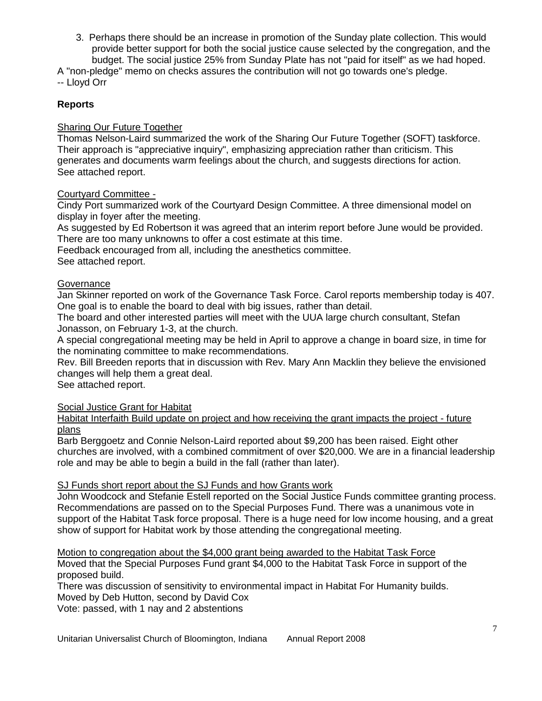3. Perhaps there should be an increase in promotion of the Sunday plate collection. This would provide better support for both the social justice cause selected by the congregation, and the budget. The social justice 25% from Sunday Plate has not "paid for itself" as we had hoped.

A "non-pledge" memo on checks assures the contribution will not go towards one's pledge. -- Lloyd Orr

# **[Reports](http://us.f333.mail.yahoo.com/ym/ShowLetter?box=Board%20Minutes&MsgId=3558_0_1122_4230_30575_0_11890_103683_3329003089_oSObkYn4Ur5HQVvwmWzmsc02s8sBsv7HCn0Aep.Vqbe_1hzfUEc.E9F3nJ0aKBTJn0f7Cr919Zu.xmd1kD1WG6lZV8Hv7SiV3PBTRpsgwqNimRiwH7jeFgUSfkWd33NtZF9A0vhCeyvBLsGcKlDUyLD3rLGh_AplxVY-&num=&Search=&YY=49880&y5beta=yes&y5beta=yes&order=down&sort=date&pos=0&view=a&head=b&Idx=2#id7)**

### [Sharing Our Future](http://us.f333.mail.yahoo.com/ym/ShowLetter?box=Board%20Minutes&MsgId=3558_0_1122_4230_30575_0_11890_103683_3329003089_oSObkYn4Ur5HQVvwmWzmsc02s8sBsv7HCn0Aep.Vqbe_1hzfUEc.E9F3nJ0aKBTJn0f7Cr919Zu.xmd1kD1WG6lZV8Hv7SiV3PBTRpsgwqNimRiwH7jeFgUSfkWd33NtZF9A0vhCeyvBLsGcKlDUyLD3rLGh_AplxVY-&num=&Search=&YY=49880&y5beta=yes&y5beta=yes&order=down&sort=date&pos=0&view=a&head=b&Idx=2#id8) Together

Thomas Nelson-Laird summarized the work of the Sharing Our Future Together (SOFT) taskforce. Their approach is "appreciative inquiry", emphasizing appreciation rather than criticism. This generates and documents warm feelings about the church, and suggests directions for action. See attached report.

### [Courtyard Committee -](http://us.f333.mail.yahoo.com/ym/ShowLetter?box=Board%20Minutes&MsgId=3558_0_1122_4230_30575_0_11890_103683_3329003089_oSObkYn4Ur5HQVvwmWzmsc02s8sBsv7HCn0Aep.Vqbe_1hzfUEc.E9F3nJ0aKBTJn0f7Cr919Zu.xmd1kD1WG6lZV8Hv7SiV3PBTRpsgwqNimRiwH7jeFgUSfkWd33NtZF9A0vhCeyvBLsGcKlDUyLD3rLGh_AplxVY-&num=&Search=&YY=49880&y5beta=yes&y5beta=yes&order=down&sort=date&pos=0&view=a&head=b&Idx=2#id9)

Cindy Port summarized work of the Courtyard Design Committee. A three dimensional model on display in foyer after the meeting.

As suggested by Ed Robertson it was agreed that an interim report before June would be provided. There are too many unknowns to offer a cost estimate at this time.

Feedback encouraged from all, including the anesthetics committee. See attached report.

### **[Governance](http://us.f333.mail.yahoo.com/ym/ShowLetter?box=Board%20Minutes&MsgId=3558_0_1122_4230_30575_0_11890_103683_3329003089_oSObkYn4Ur5HQVvwmWzmsc02s8sBsv7HCn0Aep.Vqbe_1hzfUEc.E9F3nJ0aKBTJn0f7Cr919Zu.xmd1kD1WG6lZV8Hv7SiV3PBTRpsgwqNimRiwH7jeFgUSfkWd33NtZF9A0vhCeyvBLsGcKlDUyLD3rLGh_AplxVY-&num=&Search=&YY=49880&y5beta=yes&y5beta=yes&order=down&sort=date&pos=0&view=a&head=b&Idx=2#id10)**

Jan Skinner reported on work of the Governance Task Force. Carol reports membership today is 407. One goal is to enable the board to deal with big issues, rather than detail.

The board and other interested parties will meet with the UUA large church consultant, Stefan Jonasson, on February 1-3, at the church.

A special congregational meeting may be held in April to approve a change in board size, in time for the nominating committee to make recommendations.

Rev. Bill Breeden reports that in discussion with Rev. Mary Ann Macklin they believe the envisioned changes will help them a great deal.

See attached report.

[Social Justice Grant for Habitat](http://us.f333.mail.yahoo.com/ym/ShowLetter?box=Board%20Minutes&MsgId=3558_0_1122_4230_30575_0_11890_103683_3329003089_oSObkYn4Ur5HQVvwmWzmsc02s8sBsv7HCn0Aep.Vqbe_1hzfUEc.E9F3nJ0aKBTJn0f7Cr919Zu.xmd1kD1WG6lZV8Hv7SiV3PBTRpsgwqNimRiwH7jeFgUSfkWd33NtZF9A0vhCeyvBLsGcKlDUyLD3rLGh_AplxVY-&num=&Search=&YY=49880&y5beta=yes&y5beta=yes&order=down&sort=date&pos=0&view=a&head=b&Idx=2#id11)

[Habitat Interfaith Build update on project and how receiving the grant impacts the project](http://us.f333.mail.yahoo.com/ym/ShowLetter?box=Board%20Minutes&MsgId=3558_0_1122_4230_30575_0_11890_103683_3329003089_oSObkYn4Ur5HQVvwmWzmsc02s8sBsv7HCn0Aep.Vqbe_1hzfUEc.E9F3nJ0aKBTJn0f7Cr919Zu.xmd1kD1WG6lZV8Hv7SiV3PBTRpsgwqNimRiwH7jeFgUSfkWd33NtZF9A0vhCeyvBLsGcKlDUyLD3rLGh_AplxVY-&num=&Search=&YY=49880&y5beta=yes&y5beta=yes&order=down&sort=date&pos=0&view=a&head=b&Idx=2#id12) - future [plans](http://us.f333.mail.yahoo.com/ym/ShowLetter?box=Board%20Minutes&MsgId=3558_0_1122_4230_30575_0_11890_103683_3329003089_oSObkYn4Ur5HQVvwmWzmsc02s8sBsv7HCn0Aep.Vqbe_1hzfUEc.E9F3nJ0aKBTJn0f7Cr919Zu.xmd1kD1WG6lZV8Hv7SiV3PBTRpsgwqNimRiwH7jeFgUSfkWd33NtZF9A0vhCeyvBLsGcKlDUyLD3rLGh_AplxVY-&num=&Search=&YY=49880&y5beta=yes&y5beta=yes&order=down&sort=date&pos=0&view=a&head=b&Idx=2#id12)

Barb Berggoetz and Connie Nelson-Laird reported about \$9,200 has been raised. Eight other churches are involved, with a combined commitment of over \$20,000. We are in a financial leadership role and may be able to begin a build in the fall (rather than later).

### [SJ Funds short report about the SJ Funds and how Grants work](http://us.f333.mail.yahoo.com/ym/ShowLetter?box=Board%20Minutes&MsgId=3558_0_1122_4230_30575_0_11890_103683_3329003089_oSObkYn4Ur5HQVvwmWzmsc02s8sBsv7HCn0Aep.Vqbe_1hzfUEc.E9F3nJ0aKBTJn0f7Cr919Zu.xmd1kD1WG6lZV8Hv7SiV3PBTRpsgwqNimRiwH7jeFgUSfkWd33NtZF9A0vhCeyvBLsGcKlDUyLD3rLGh_AplxVY-&num=&Search=&YY=49880&y5beta=yes&y5beta=yes&order=down&sort=date&pos=0&view=a&head=b&Idx=2#id13)

John Woodcock and Stefanie Estell reported on the Social Justice Funds committee granting process. Recommendations are passed on to the Special Purposes Fund. There was a unanimous vote in support of the Habitat Task force proposal. There is a huge need for low income housing, and a great show of support for Habitat work by those attending the congregational meeting.

[Motion to congregation about the \\$4,000 grant being awarded to the Habitat Task Force](http://us.f333.mail.yahoo.com/ym/ShowLetter?box=Board%20Minutes&MsgId=3558_0_1122_4230_30575_0_11890_103683_3329003089_oSObkYn4Ur5HQVvwmWzmsc02s8sBsv7HCn0Aep.Vqbe_1hzfUEc.E9F3nJ0aKBTJn0f7Cr919Zu.xmd1kD1WG6lZV8Hv7SiV3PBTRpsgwqNimRiwH7jeFgUSfkWd33NtZF9A0vhCeyvBLsGcKlDUyLD3rLGh_AplxVY-&num=&Search=&YY=49880&y5beta=yes&y5beta=yes&order=down&sort=date&pos=0&view=a&head=b&Idx=2#id14) Moved that the Special Purposes Fund grant \$4,000 to the Habitat Task Force in support of the proposed build.

There was discussion of sensitivity to environmental impact in Habitat For Humanity builds. Moved by Deb Hutton, second by David Cox

Vote: passed, with 1 nay and 2 abstentions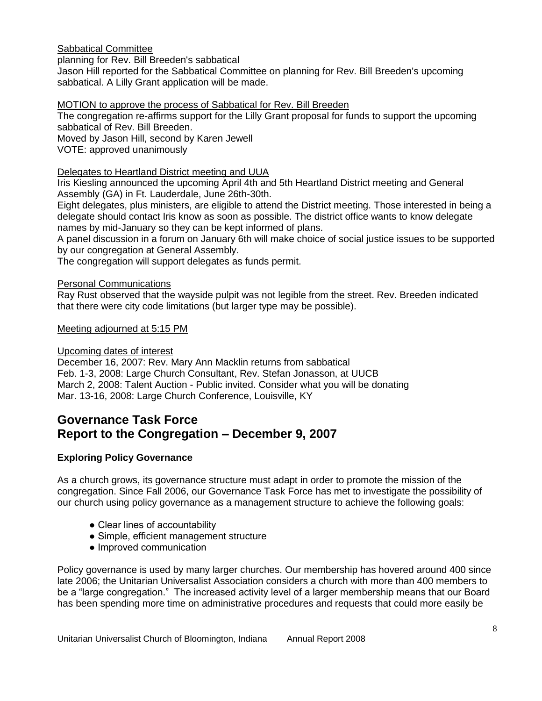# [Sabbatical Committee](http://us.f333.mail.yahoo.com/ym/ShowLetter?box=Board%20Minutes&MsgId=3558_0_1122_4230_30575_0_11890_103683_3329003089_oSObkYn4Ur5HQVvwmWzmsc02s8sBsv7HCn0Aep.Vqbe_1hzfUEc.E9F3nJ0aKBTJn0f7Cr919Zu.xmd1kD1WG6lZV8Hv7SiV3PBTRpsgwqNimRiwH7jeFgUSfkWd33NtZF9A0vhCeyvBLsGcKlDUyLD3rLGh_AplxVY-&num=&Search=&YY=49880&y5beta=yes&y5beta=yes&order=down&sort=date&pos=0&view=a&head=b&Idx=2#id15)

planning for Rev. Bill Breeden's sabbatical

Jason Hill reported for the Sabbatical Committee on planning for Rev. Bill Breeden's upcoming sabbatical. A Lilly Grant application will be made.

# MOTION [to approve the process of Sabbatical for Rev. Bill Breeden](http://us.f333.mail.yahoo.com/ym/ShowLetter?box=Board%20Minutes&MsgId=3558_0_1122_4230_30575_0_11890_103683_3329003089_oSObkYn4Ur5HQVvwmWzmsc02s8sBsv7HCn0Aep.Vqbe_1hzfUEc.E9F3nJ0aKBTJn0f7Cr919Zu.xmd1kD1WG6lZV8Hv7SiV3PBTRpsgwqNimRiwH7jeFgUSfkWd33NtZF9A0vhCeyvBLsGcKlDUyLD3rLGh_AplxVY-&num=&Search=&YY=49880&y5beta=yes&y5beta=yes&order=down&sort=date&pos=0&view=a&head=b&Idx=2#id16)

The congregation re-affirms support for the Lilly Grant proposal for funds to support the upcoming sabbatical of Rev. Bill Breeden.

Moved by Jason Hill, second by Karen Jewell

VOTE: approved unanimously

# [Delegates to Heartland District meeting and UUA](http://us.f333.mail.yahoo.com/ym/ShowLetter?box=Board%20Minutes&MsgId=3558_0_1122_4230_30575_0_11890_103683_3329003089_oSObkYn4Ur5HQVvwmWzmsc02s8sBsv7HCn0Aep.Vqbe_1hzfUEc.E9F3nJ0aKBTJn0f7Cr919Zu.xmd1kD1WG6lZV8Hv7SiV3PBTRpsgwqNimRiwH7jeFgUSfkWd33NtZF9A0vhCeyvBLsGcKlDUyLD3rLGh_AplxVY-&num=&Search=&YY=49880&y5beta=yes&y5beta=yes&order=down&sort=date&pos=0&view=a&head=b&Idx=2#id17)

Iris Kiesling announced the upcoming April 4th and 5th Heartland District meeting and General Assembly (GA) in Ft. Lauderdale, June 26th-30th.

Eight delegates, plus ministers, are eligible to attend the District meeting. Those interested in being a delegate should contact Iris know as soon as possible. The district office wants to know delegate names by mid-January so they can be kept informed of plans.

A panel discussion in a forum on January 6th will make choice of social justice issues to be supported by our congregation at General Assembly.

The congregation will support delegates as funds permit.

### [Personal Communications](http://us.f333.mail.yahoo.com/ym/ShowLetter?box=Board%20Minutes&MsgId=3558_0_1122_4230_30575_0_11890_103683_3329003089_oSObkYn4Ur5HQVvwmWzmsc02s8sBsv7HCn0Aep.Vqbe_1hzfUEc.E9F3nJ0aKBTJn0f7Cr919Zu.xmd1kD1WG6lZV8Hv7SiV3PBTRpsgwqNimRiwH7jeFgUSfkWd33NtZF9A0vhCeyvBLsGcKlDUyLD3rLGh_AplxVY-&num=&Search=&YY=49880&y5beta=yes&y5beta=yes&order=down&sort=date&pos=0&view=a&head=b&Idx=2#id18)

Ray Rust observed that the wayside pulpit was not legible from the street. Rev. Breeden indicated that there were city code limitations (but larger type may be possible).

### [Meeting adjourned at 5:15 PM](http://us.f333.mail.yahoo.com/ym/ShowLetter?box=Board%20Minutes&MsgId=3558_0_1122_4230_30575_0_11890_103683_3329003089_oSObkYn4Ur5HQVvwmWzmsc02s8sBsv7HCn0Aep.Vqbe_1hzfUEc.E9F3nJ0aKBTJn0f7Cr919Zu.xmd1kD1WG6lZV8Hv7SiV3PBTRpsgwqNimRiwH7jeFgUSfkWd33NtZF9A0vhCeyvBLsGcKlDUyLD3rLGh_AplxVY-&num=&Search=&YY=49880&y5beta=yes&y5beta=yes&order=down&sort=date&pos=0&view=a&head=b&Idx=2#id19)

### [Upcoming dates of interest](http://us.f333.mail.yahoo.com/ym/ShowLetter?box=Board%20Minutes&MsgId=3558_0_1122_4230_30575_0_11890_103683_3329003089_oSObkYn4Ur5HQVvwmWzmsc02s8sBsv7HCn0Aep.Vqbe_1hzfUEc.E9F3nJ0aKBTJn0f7Cr919Zu.xmd1kD1WG6lZV8Hv7SiV3PBTRpsgwqNimRiwH7jeFgUSfkWd33NtZF9A0vhCeyvBLsGcKlDUyLD3rLGh_AplxVY-&num=&Search=&YY=49880&y5beta=yes&y5beta=yes&order=down&sort=date&pos=0&view=a&head=b&Idx=2#id20)

December 16, 2007: Rev. Mary Ann Macklin returns from sabbatical Feb. 1-3, 2008: Large Church Consultant, Rev. Stefan Jonasson, at UUCB March 2, 2008: Talent Auction - Public invited. Consider what you will be donating Mar. 13-16, 2008: Large Church Conference, Louisville, KY

# **Governance Task Force Report to the Congregation – December 9, 2007**

# **Exploring Policy Governance**

As a church grows, its governance structure must adapt in order to promote the mission of the congregation. Since Fall 2006, our Governance Task Force has met to investigate the possibility of our church using policy governance as a management structure to achieve the following goals:

- Clear lines of accountability
- Simple, efficient management structure
- Improved communication

Policy governance is used by many larger churches. Our membership has hovered around 400 since late 2006; the Unitarian Universalist Association considers a church with more than 400 members to be a "large congregation." The increased activity level of a larger membership means that our Board has been spending more time on administrative procedures and requests that could more easily be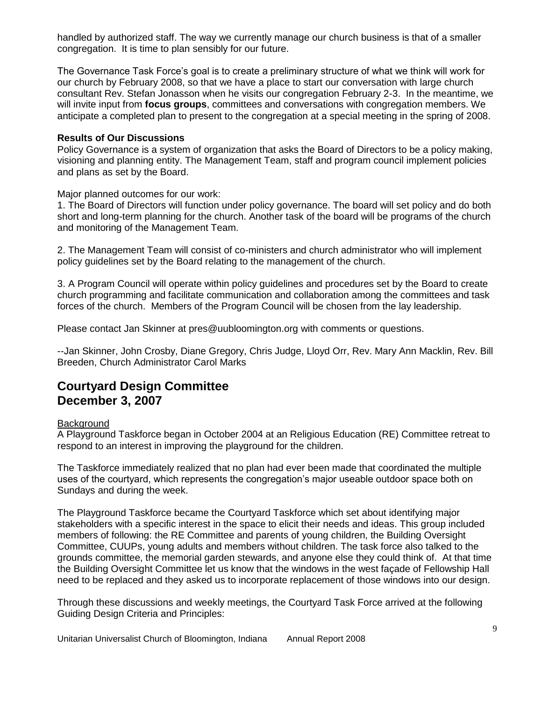handled by authorized staff. The way we currently manage our church business is that of a smaller congregation. It is time to plan sensibly for our future.

The Governance Task Force's goal is to create a preliminary structure of what we think will work for our church by February 2008, so that we have a place to start our conversation with large church consultant Rev. Stefan Jonasson when he visits our congregation February 2-3. In the meantime, we will invite input from **focus groups**, committees and conversations with congregation members. We anticipate a completed plan to present to the congregation at a special meeting in the spring of 2008.

#### **Results of Our Discussions**

Policy Governance is a system of organization that asks the Board of Directors to be a policy making, visioning and planning entity. The Management Team, staff and program council implement policies and plans as set by the Board.

Major planned outcomes for our work:

1. The Board of Directors will function under policy governance. The board will set policy and do both short and long-term planning for the church. Another task of the board will be programs of the church and monitoring of the Management Team.

2. The Management Team will consist of co-ministers and church administrator who will implement policy guidelines set by the Board relating to the management of the church.

3. A Program Council will operate within policy guidelines and procedures set by the Board to create church programming and facilitate communication and collaboration among the committees and task forces of the church. Members of the Program Council will be chosen from the lay leadership.

Please contact Jan Skinner at pres@uubloomington.org with comments or questions.

--Jan Skinner, John Crosby, Diane Gregory, Chris Judge, Lloyd Orr, Rev. Mary Ann Macklin, Rev. Bill Breeden, Church Administrator Carol Marks

# **Courtyard Design Committee December 3, 2007**

#### **Background**

A Playground Taskforce began in October 2004 at an Religious Education (RE) Committee retreat to respond to an interest in improving the playground for the children.

The Taskforce immediately realized that no plan had ever been made that coordinated the multiple uses of the courtyard, which represents the congregation's major useable outdoor space both on Sundays and during the week.

The Playground Taskforce became the Courtyard Taskforce which set about identifying major stakeholders with a specific interest in the space to elicit their needs and ideas. This group included members of following: the RE Committee and parents of young children, the Building Oversight Committee, CUUPs, young adults and members without children. The task force also talked to the grounds committee, the memorial garden stewards, and anyone else they could think of. At that time the Building Oversight Committee let us know that the windows in the west façade of Fellowship Hall need to be replaced and they asked us to incorporate replacement of those windows into our design.

Through these discussions and weekly meetings, the Courtyard Task Force arrived at the following Guiding Design Criteria and Principles: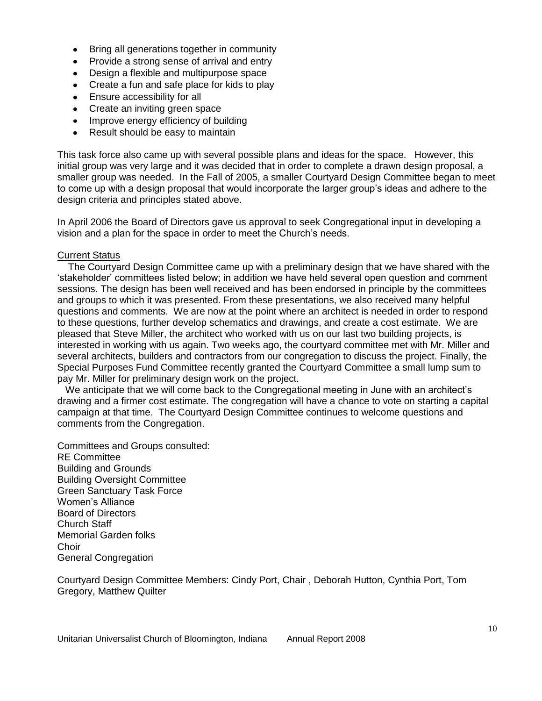- Bring all generations together in community
- Provide a strong sense of arrival and entry
- Design a flexible and multipurpose space
- Create a fun and safe place for kids to play
- Ensure accessibility for all
- Create an inviting green space  $\bullet$
- Improve energy efficiency of building
- Result should be easy to maintain  $\bullet$

This task force also came up with several possible plans and ideas for the space. However, this initial group was very large and it was decided that in order to complete a drawn design proposal, a smaller group was needed. In the Fall of 2005, a smaller Courtyard Design Committee began to meet to come up with a design proposal that would incorporate the larger group's ideas and adhere to the design criteria and principles stated above.

In April 2006 the Board of Directors gave us approval to seek Congregational input in developing a vision and a plan for the space in order to meet the Church's needs.

#### Current Status

 The Courtyard Design Committee came up with a preliminary design that we have shared with the ‗stakeholder' committees listed below; in addition we have held several open question and comment sessions. The design has been well received and has been endorsed in principle by the committees and groups to which it was presented. From these presentations, we also received many helpful questions and comments. We are now at the point where an architect is needed in order to respond to these questions, further develop schematics and drawings, and create a cost estimate. We are pleased that Steve Miller, the architect who worked with us on our last two building projects, is interested in working with us again. Two weeks ago, the courtyard committee met with Mr. Miller and several architects, builders and contractors from our congregation to discuss the project. Finally, the Special Purposes Fund Committee recently granted the Courtyard Committee a small lump sum to pay Mr. Miller for preliminary design work on the project.

 We anticipate that we will come back to the Congregational meeting in June with an architect's drawing and a firmer cost estimate. The congregation will have a chance to vote on starting a capital campaign at that time. The Courtyard Design Committee continues to welcome questions and comments from the Congregation.

Committees and Groups consulted: RE Committee Building and Grounds Building Oversight Committee Green Sanctuary Task Force Women's Alliance Board of Directors Church Staff Memorial Garden folks Choir General Congregation

Courtyard Design Committee Members: Cindy Port, Chair , Deborah Hutton, Cynthia Port, Tom Gregory, Matthew Quilter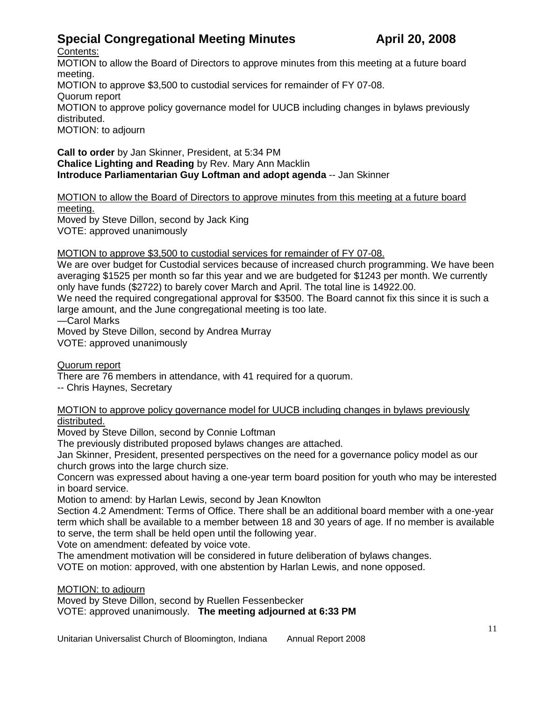# **Special Congregational Meeting Minutes <b>April 20, 2008**

Contents:

MOTION [to allow the Board of Directors to approve minutes from this meeting at a future board](http://us.f333.mail.yahoo.com/ym/ShowLetter?MsgId=1123_4113165_1064_4692_19694_0_13416_61869_2976351260&Idx=7&YY=94607&y5beta=yes&y5beta=yes&inc=25&order=down&sort=date&pos=0&view=a&head=b&box=Inbox#motion-to-allow-the-board-of-directors-to-approve-minutes-from-this-meeting-at-a-future-board-meeting)  [meeting.](http://us.f333.mail.yahoo.com/ym/ShowLetter?MsgId=1123_4113165_1064_4692_19694_0_13416_61869_2976351260&Idx=7&YY=94607&y5beta=yes&y5beta=yes&inc=25&order=down&sort=date&pos=0&view=a&head=b&box=Inbox#motion-to-allow-the-board-of-directors-to-approve-minutes-from-this-meeting-at-a-future-board-meeting)

MOTION [to approve \\$3,500 to custodial services for remainder of FY 07-08.](http://us.f333.mail.yahoo.com/ym/ShowLetter?MsgId=1123_4113165_1064_4692_19694_0_13416_61869_2976351260&Idx=7&YY=94607&y5beta=yes&y5beta=yes&inc=25&order=down&sort=date&pos=0&view=a&head=b&box=Inbox#motion-to-approve-3-500-to-custodial-services-for-remainder-of-fy-07-08) [Quorum report](http://us.f333.mail.yahoo.com/ym/ShowLetter?MsgId=1123_4113165_1064_4692_19694_0_13416_61869_2976351260&Idx=7&YY=94607&y5beta=yes&y5beta=yes&inc=25&order=down&sort=date&pos=0&view=a&head=b&box=Inbox#quorum-report)

MOTION [to approve policy governance model for UUCB including changes in bylaws previously](http://us.f333.mail.yahoo.com/ym/ShowLetter?MsgId=1123_4113165_1064_4692_19694_0_13416_61869_2976351260&Idx=7&YY=94607&y5beta=yes&y5beta=yes&inc=25&order=down&sort=date&pos=0&view=a&head=b&box=Inbox#motion-to-approve-policy-governance-model-for-uucb-including-changes-in-bylaws-previously-distributed)  [distributed.](http://us.f333.mail.yahoo.com/ym/ShowLetter?MsgId=1123_4113165_1064_4692_19694_0_13416_61869_2976351260&Idx=7&YY=94607&y5beta=yes&y5beta=yes&inc=25&order=down&sort=date&pos=0&view=a&head=b&box=Inbox#motion-to-approve-policy-governance-model-for-uucb-including-changes-in-bylaws-previously-distributed)

[MOTION: to adjourn](http://us.f333.mail.yahoo.com/ym/ShowLetter?MsgId=1123_4113165_1064_4692_19694_0_13416_61869_2976351260&Idx=7&YY=94607&y5beta=yes&y5beta=yes&inc=25&order=down&sort=date&pos=0&view=a&head=b&box=Inbox#motion-to-adjourn)

**Call to order** by Jan Skinner, President, at 5:34 PM **Chalice Lighting and Reading** by Rev. Mary Ann Macklin **Introduce Parliamentarian Guy Loftman and adopt agenda** -- Jan Skinner

# MOTION to allow [the Board of Directors to approve minutes from this meeting at a future board](http://us.f333.mail.yahoo.com/ym/ShowLetter?MsgId=1123_4113165_1064_4692_19694_0_13416_61869_2976351260&Idx=7&YY=94607&y5beta=yes&y5beta=yes&inc=25&order=down&sort=date&pos=0&view=a&head=b&box=Inbox#id1)  [meeting.](http://us.f333.mail.yahoo.com/ym/ShowLetter?MsgId=1123_4113165_1064_4692_19694_0_13416_61869_2976351260&Idx=7&YY=94607&y5beta=yes&y5beta=yes&inc=25&order=down&sort=date&pos=0&view=a&head=b&box=Inbox#id1)

Moved by Steve Dillon, second by Jack King VOTE: approved unanimously

# MOTION [to approve \\$3,500 to custodial services for remainder of FY 07-08.](http://us.f333.mail.yahoo.com/ym/ShowLetter?MsgId=1123_4113165_1064_4692_19694_0_13416_61869_2976351260&Idx=7&YY=94607&y5beta=yes&y5beta=yes&inc=25&order=down&sort=date&pos=0&view=a&head=b&box=Inbox#id2)

We are over budget for Custodial services because of increased church programming. We have been averaging \$1525 per month so far this year and we are budgeted for \$1243 per month. We currently only have funds (\$2722) to barely cover March and April. The total line is 14922.00.

We need the required congregational approval for \$3500. The Board cannot fix this since it is such a large amount, and the June congregational meeting is too late.

—Carol Marks

Moved by Steve Dillon, second by Andrea Murray VOTE: approved unanimously

[Quorum report](http://us.f333.mail.yahoo.com/ym/ShowLetter?MsgId=1123_4113165_1064_4692_19694_0_13416_61869_2976351260&Idx=7&YY=94607&y5beta=yes&y5beta=yes&inc=25&order=down&sort=date&pos=0&view=a&head=b&box=Inbox#id3)

There are 76 members in attendance, with 41 required for a quorum.

-- Chris Haynes, Secretary

#### MOTION [to approve policy governance model for UUCB including changes in bylaws previously](http://us.f333.mail.yahoo.com/ym/ShowLetter?MsgId=1123_4113165_1064_4692_19694_0_13416_61869_2976351260&Idx=7&YY=94607&y5beta=yes&y5beta=yes&inc=25&order=down&sort=date&pos=0&view=a&head=b&box=Inbox#id4)  [distributed.](http://us.f333.mail.yahoo.com/ym/ShowLetter?MsgId=1123_4113165_1064_4692_19694_0_13416_61869_2976351260&Idx=7&YY=94607&y5beta=yes&y5beta=yes&inc=25&order=down&sort=date&pos=0&view=a&head=b&box=Inbox#id4)

Moved by Steve Dillon, second by Connie Loftman

The previously distributed proposed bylaws changes are attached.

Jan Skinner, President, presented perspectives on the need for a governance policy model as our church grows into the large church size.

Concern was expressed about having a one-year term board position for youth who may be interested in board service.

Motion to amend: by Harlan Lewis, second by Jean Knowlton

Section 4.2 Amendment: Terms of Office. There shall be an additional board member with a one-year term which shall be available to a member between 18 and 30 years of age. If no member is available to serve, the term shall be held open until the following year.

Vote on amendment: defeated by voice vote.

The amendment motivation will be considered in future deliberation of bylaws changes.

VOTE on motion: approved, with one abstention by Harlan Lewis, and none opposed.

### [MOTION: to adjourn](http://us.f333.mail.yahoo.com/ym/ShowLetter?MsgId=1123_4113165_1064_4692_19694_0_13416_61869_2976351260&Idx=7&YY=94607&y5beta=yes&y5beta=yes&inc=25&order=down&sort=date&pos=0&view=a&head=b&box=Inbox#id5)

Moved by Steve Dillon, second by Ruellen Fessenbecker VOTE: approved unanimously. **The meeting adjourned at 6:33 PM**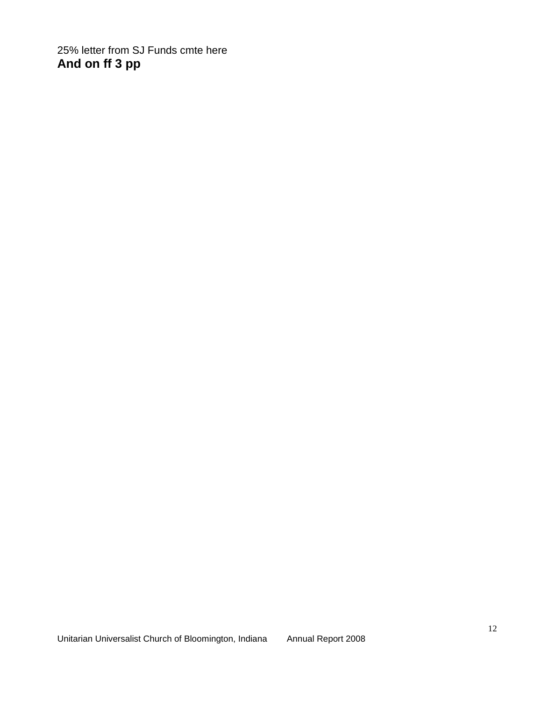25% letter from SJ Funds cmte here **And on ff 3 pp**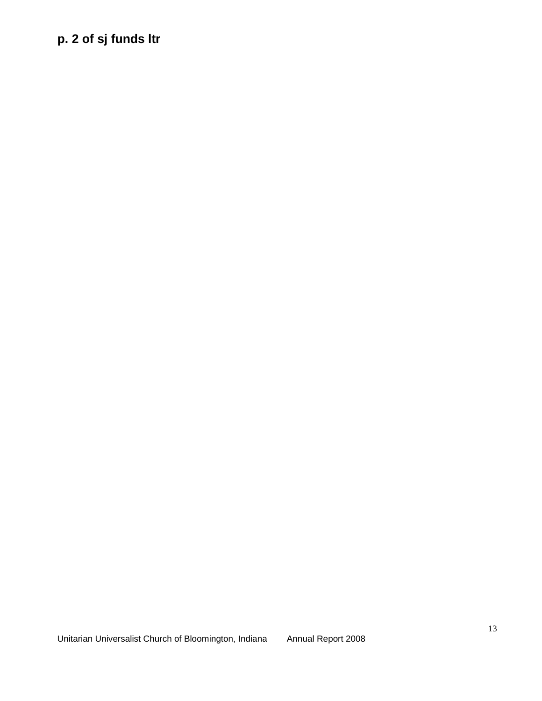# **p. 2 of sj funds ltr**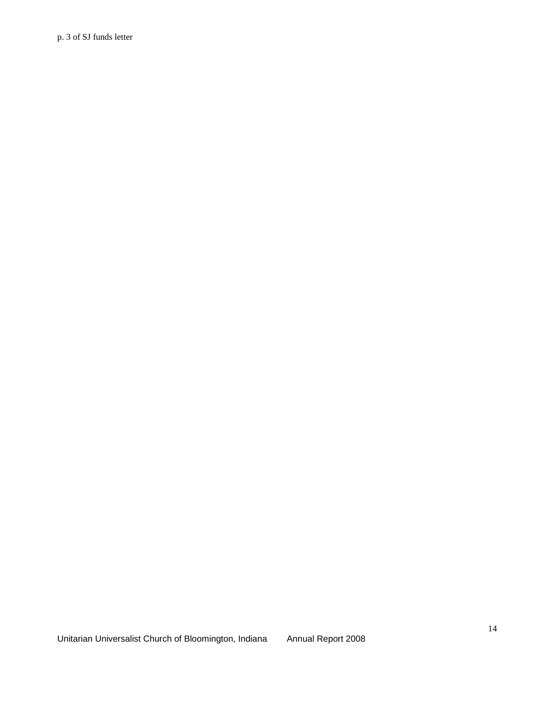p. 3 of SJ funds letter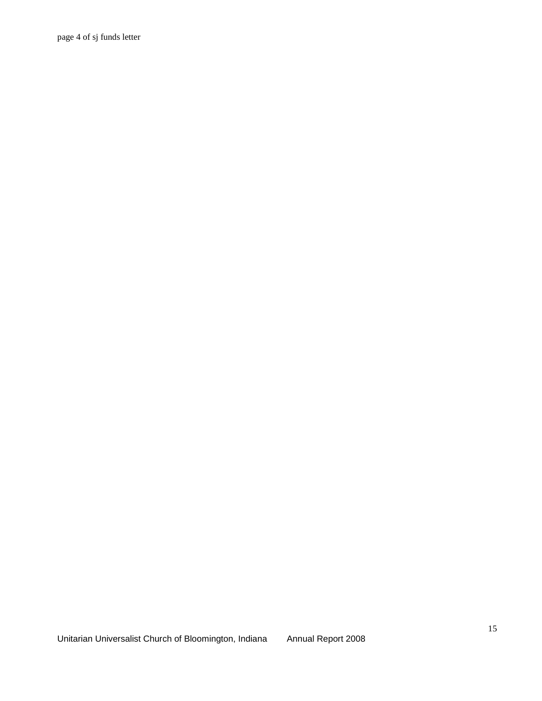page 4 of sj funds letter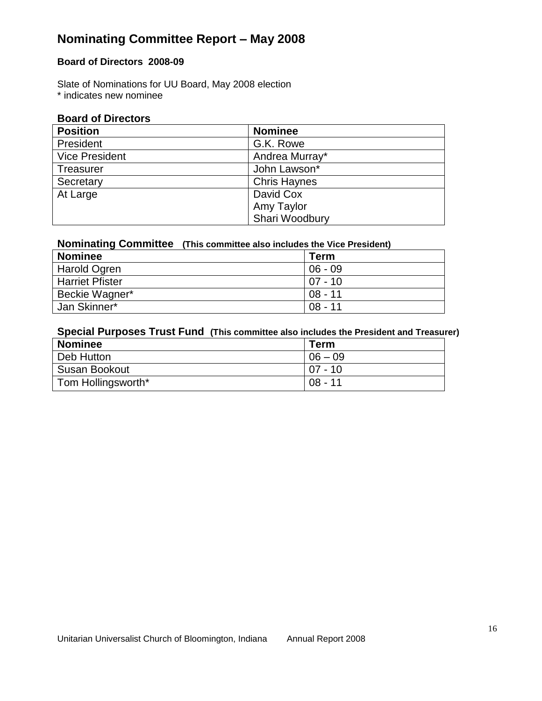# **Nominating Committee Report – May 2008**

# **Board of Directors 2008-09**

Slate of Nominations for UU Board, May 2008 election \* indicates new nominee

# **Board of Directors**

| <b>Position</b>       | <b>Nominee</b>      |
|-----------------------|---------------------|
| President             | G.K. Rowe           |
| <b>Vice President</b> | Andrea Murray*      |
| <b>Treasurer</b>      | John Lawson*        |
| Secretary             | <b>Chris Haynes</b> |
| At Large              | David Cox           |
|                       | Amy Taylor          |
|                       | Shari Woodbury      |

# **Nominating Committee (This committee also includes the Vice President)**

| <b>Nominee</b>         | Term       |
|------------------------|------------|
| Harold Ogren           | $06 - 09$  |
| <b>Harriet Pfister</b> | $107 - 10$ |
| Beckie Wagner*         | $08 - 11$  |
| Jan Skinner*           | $08 - 11$  |

# **Special Purposes Trust Fund (This committee also includes the President and Treasurer)**

| <b>Nominee</b>       | Term      |
|----------------------|-----------|
| Deb Hutton           | $06 - 09$ |
| <b>Susan Bookout</b> | $07 - 10$ |
| Tom Hollingsworth*   | $08 - 11$ |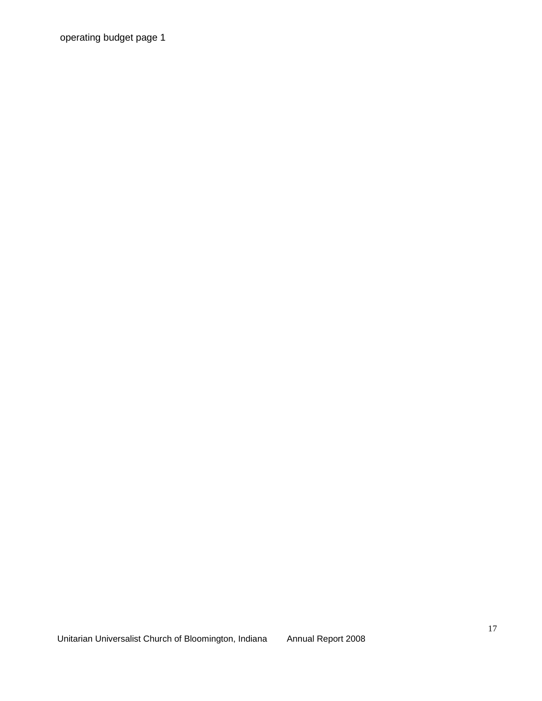operating budget page 1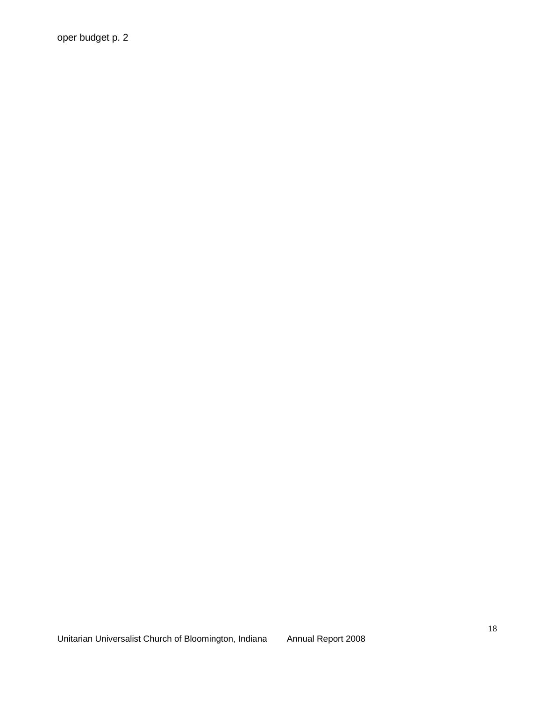oper budget p. 2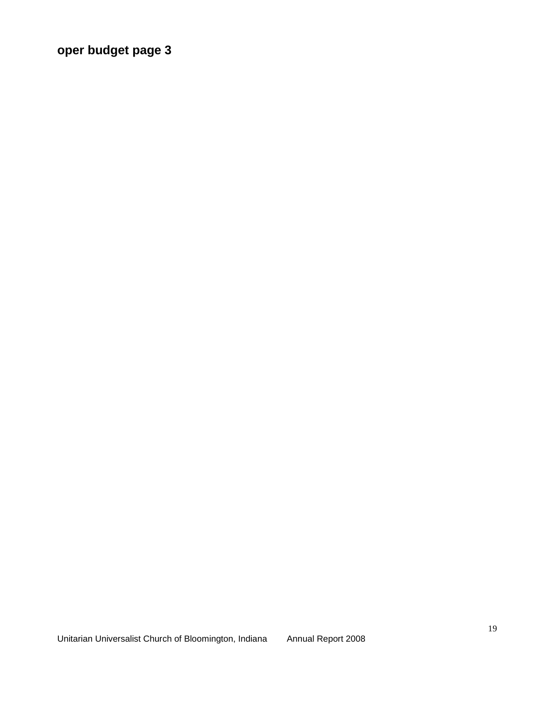**oper budget page 3**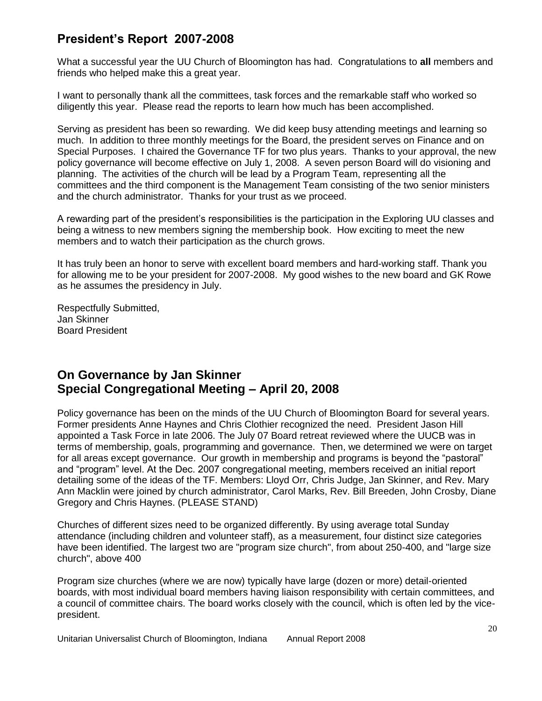# **President's Report 2007-2008**

What a successful year the UU Church of Bloomington has had. Congratulations to **all** members and friends who helped make this a great year.

I want to personally thank all the committees, task forces and the remarkable staff who worked so diligently this year. Please read the reports to learn how much has been accomplished.

Serving as president has been so rewarding. We did keep busy attending meetings and learning so much. In addition to three monthly meetings for the Board, the president serves on Finance and on Special Purposes. I chaired the Governance TF for two plus years. Thanks to your approval, the new policy governance will become effective on July 1, 2008. A seven person Board will do visioning and planning. The activities of the church will be lead by a Program Team, representing all the committees and the third component is the Management Team consisting of the two senior ministers and the church administrator. Thanks for your trust as we proceed.

A rewarding part of the president's responsibilities is the participation in the Exploring UU classes and being a witness to new members signing the membership book. How exciting to meet the new members and to watch their participation as the church grows.

It has truly been an honor to serve with excellent board members and hard-working staff. Thank you for allowing me to be your president for 2007-2008. My good wishes to the new board and GK Rowe as he assumes the presidency in July.

Respectfully Submitted, Jan Skinner Board President

# **On Governance by Jan Skinner Special Congregational Meeting – April 20, 2008**

Policy governance has been on the minds of the UU Church of Bloomington Board for several years. Former presidents Anne Haynes and Chris Clothier recognized the need. President Jason Hill appointed a Task Force in late 2006. The July 07 Board retreat reviewed where the UUCB was in terms of membership, goals, programming and governance. Then, we determined we were on target for all areas except governance. Our growth in membership and programs is beyond the "pastoral" and "program" level. At the Dec. 2007 congregational meeting, members received an initial report detailing some of the ideas of the TF. Members: Lloyd Orr, Chris Judge, Jan Skinner, and Rev. Mary Ann Macklin were joined by church administrator, Carol Marks, Rev. Bill Breeden, John Crosby, Diane Gregory and Chris Haynes. (PLEASE STAND)

Churches of different sizes need to be organized differently. By using average total Sunday attendance (including children and volunteer staff), as a measurement, four distinct size categories have been identified. The largest two are "program size church", from about 250-400, and "large size church", above 400

Program size churches (where we are now) typically have large (dozen or more) detail-oriented boards, with most individual board members having liaison responsibility with certain committees, and a council of committee chairs. The board works closely with the council, which is often led by the vicepresident.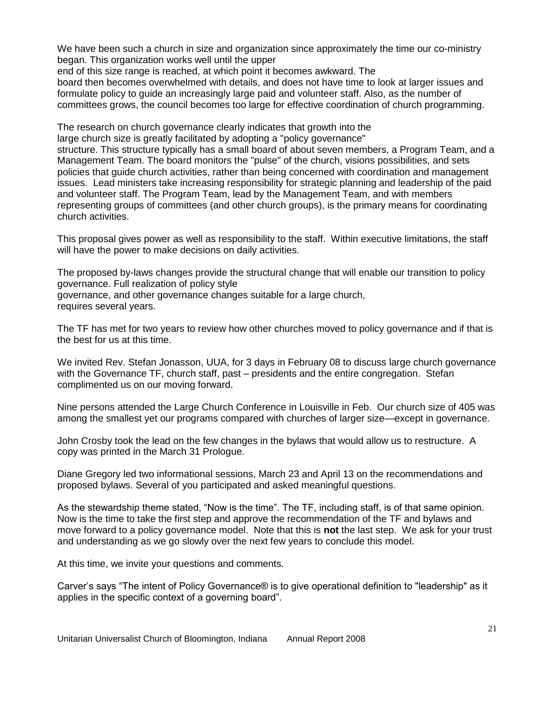We have been such a church in size and organization since approximately the time our co-ministry began. This organization works well until the upper

end of this size range is reached, at which point it becomes awkward. The

board then becomes overwhelmed with details, and does not have time to look at larger issues and formulate policy to guide an increasingly large paid and volunteer staff. Also, as the number of committees grows, the council becomes too large for effective coordination of church programming.

The research on church governance clearly indicates that growth into the large church size is greatly facilitated by adopting a "policy governance"

structure. This structure typically has a small board of about seven members, a Program Team, and a Management Team. The board monitors the "pulse" of the church, visions possibilities, and sets policies that guide church activities, rather than being concerned with coordination and management issues. Lead ministers take increasing responsibility for strategic planning and leadership of the paid and volunteer staff. The Program Team, lead by the Management Team, and with members representing groups of committees (and other church groups), is the primary means for coordinating church activities.

This proposal gives power as well as responsibility to the staff. Within executive limitations, the staff will have the power to make decisions on daily activities.

The proposed by-laws changes provide the structural change that will enable our transition to policy governance. Full realization of policy style governance, and other governance changes suitable for a large church, requires several years.

The TF has met for two years to review how other churches moved to policy governance and if that is the best for us at this time.

We invited Rev. Stefan Jonasson, UUA, for 3 days in February 08 to discuss large church governance with the Governance TF, church staff, past – presidents and the entire congregation. Stefan complimented us on our moving forward.

Nine persons attended the Large Church Conference in Louisville in Feb. Our church size of 405 was among the smallest yet our programs compared with churches of larger size—except in governance.

John Crosby took the lead on the few changes in the bylaws that would allow us to restructure. A copy was printed in the March 31 Prologue.

Diane Gregory led two informational sessions, March 23 and April 13 on the recommendations and proposed bylaws. Several of you participated and asked meaningful questions.

As the stewardship theme stated, "Now is the time". The TF, including staff, is of that same opinion. Now is the time to take the first step and approve the recommendation of the TF and bylaws and move forward to a policy governance model. Note that this is **not** the last step. We ask for your trust and understanding as we go slowly over the next few years to conclude this model.

At this time, we invite your questions and comments.

Carver's says "The intent of Policy Governance® is to give operational definition to "leadership" as it applies in the specific context of a governing board".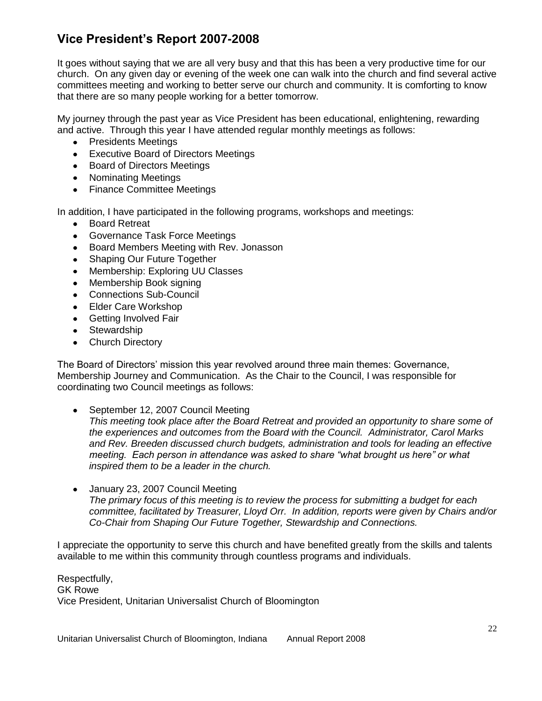# **Vice President's Report 2007-2008**

It goes without saying that we are all very busy and that this has been a very productive time for our church. On any given day or evening of the week one can walk into the church and find several active committees meeting and working to better serve our church and community. It is comforting to know that there are so many people working for a better tomorrow.

My journey through the past year as Vice President has been educational, enlightening, rewarding and active. Through this year I have attended regular monthly meetings as follows:

- Presidents Meetings
- Executive Board of Directors Meetings
- Board of Directors Meetings
- Nominating Meetings
- Finance Committee Meetings

In addition, I have participated in the following programs, workshops and meetings:

- Board Retreat
- Governance Task Force Meetings
- $\bullet$ Board Members Meeting with Rev. Jonasson
- Shaping Our Future Together
- Membership: Exploring UU Classes
- Membership Book signing
- Connections Sub-Council
- Elder Care Workshop
- Getting Involved Fair
- **Stewardship**
- Church Directory

The Board of Directors' mission this year revolved around three main themes: Governance, Membership Journey and Communication. As the Chair to the Council, I was responsible for coordinating two Council meetings as follows:

September 12, 2007 Council Meeting

*This meeting took place after the Board Retreat and provided an opportunity to share some of the experiences and outcomes from the Board with the Council. Administrator, Carol Marks and Rev. Breeden discussed church budgets, administration and tools for leading an effective meeting. Each person in attendance was asked to share "what brought us here" or what inspired them to be a leader in the church.* 

January 23, 2007 Council Meeting *The primary focus of this meeting is to review the process for submitting a budget for each committee, facilitated by Treasurer, Lloyd Orr. In addition, reports were given by Chairs and/or Co-Chair from Shaping Our Future Together, Stewardship and Connections.* 

I appreciate the opportunity to serve this church and have benefited greatly from the skills and talents available to me within this community through countless programs and individuals.

Respectfully, GK Rowe Vice President, Unitarian Universalist Church of Bloomington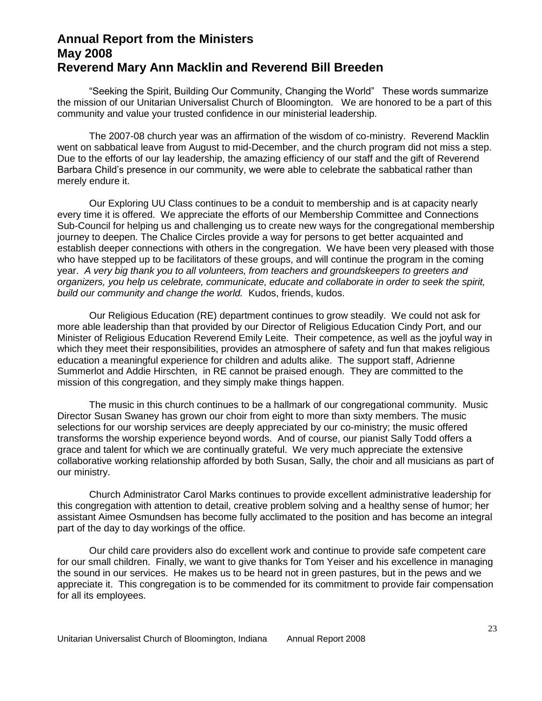# **Annual Report from the Ministers May 2008 Reverend Mary Ann Macklin and Reverend Bill Breeden**

―Seeking the Spirit, Building Our Community, Changing the World‖ These words summarize the mission of our Unitarian Universalist Church of Bloomington. We are honored to be a part of this community and value your trusted confidence in our ministerial leadership.

The 2007-08 church year was an affirmation of the wisdom of co-ministry. Reverend Macklin went on sabbatical leave from August to mid-December, and the church program did not miss a step. Due to the efforts of our lay leadership, the amazing efficiency of our staff and the gift of Reverend Barbara Child's presence in our community, we were able to celebrate the sabbatical rather than merely endure it.

Our Exploring UU Class continues to be a conduit to membership and is at capacity nearly every time it is offered. We appreciate the efforts of our Membership Committee and Connections Sub-Council for helping us and challenging us to create new ways for the congregational membership journey to deepen. The Chalice Circles provide a way for persons to get better acquainted and establish deeper connections with others in the congregation. We have been very pleased with those who have stepped up to be facilitators of these groups, and will continue the program in the coming year. *A very big thank you to all volunteers, from teachers and groundskeepers to greeters and organizers, you help us celebrate, communicate, educate and collaborate in order to seek the spirit, build our community and change the world.* Kudos, friends, kudos.

Our Religious Education (RE) department continues to grow steadily. We could not ask for more able leadership than that provided by our Director of Religious Education Cindy Port, and our Minister of Religious Education Reverend Emily Leite. Their competence, as well as the joyful way in which they meet their responsibilities, provides an atmosphere of safety and fun that makes religious education a meaningful experience for children and adults alike. The support staff, Adrienne Summerlot and Addie Hirschten, in RE cannot be praised enough. They are committed to the mission of this congregation, and they simply make things happen.

The music in this church continues to be a hallmark of our congregational community. Music Director Susan Swaney has grown our choir from eight to more than sixty members. The music selections for our worship services are deeply appreciated by our co-ministry; the music offered transforms the worship experience beyond words. And of course, our pianist Sally Todd offers a grace and talent for which we are continually grateful. We very much appreciate the extensive collaborative working relationship afforded by both Susan, Sally, the choir and all musicians as part of our ministry.

Church Administrator Carol Marks continues to provide excellent administrative leadership for this congregation with attention to detail, creative problem solving and a healthy sense of humor; her assistant Aimee Osmundsen has become fully acclimated to the position and has become an integral part of the day to day workings of the office.

Our child care providers also do excellent work and continue to provide safe competent care for our small children. Finally, we want to give thanks for Tom Yeiser and his excellence in managing the sound in our services. He makes us to be heard not in green pastures, but in the pews and we appreciate it. This congregation is to be commended for its commitment to provide fair compensation for all its employees.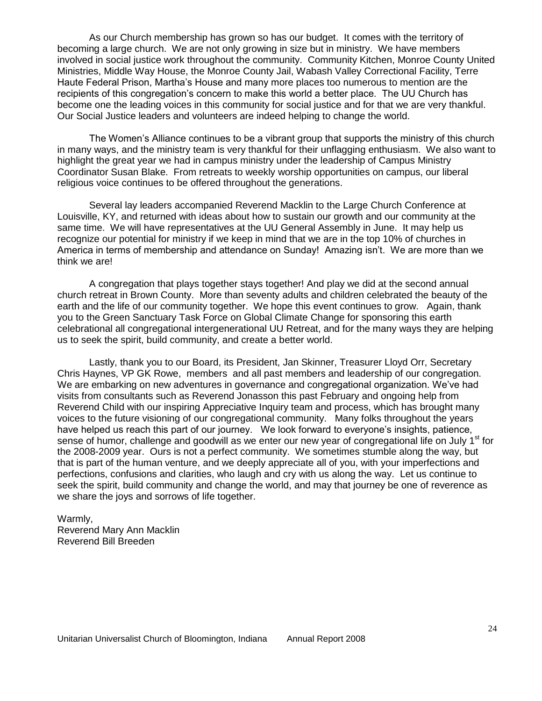As our Church membership has grown so has our budget. It comes with the territory of becoming a large church. We are not only growing in size but in ministry. We have members involved in social justice work throughout the community. Community Kitchen, Monroe County United Ministries, Middle Way House, the Monroe County Jail, Wabash Valley Correctional Facility, Terre Haute Federal Prison, Martha's House and many more places too numerous to mention are the recipients of this congregation's concern to make this world a better place. The UU Church has become one the leading voices in this community for social justice and for that we are very thankful. Our Social Justice leaders and volunteers are indeed helping to change the world.

The Women's Alliance continues to be a vibrant group that supports the ministry of this church in many ways, and the ministry team is very thankful for their unflagging enthusiasm. We also want to highlight the great year we had in campus ministry under the leadership of Campus Ministry Coordinator Susan Blake. From retreats to weekly worship opportunities on campus, our liberal religious voice continues to be offered throughout the generations.

Several lay leaders accompanied Reverend Macklin to the Large Church Conference at Louisville, KY, and returned with ideas about how to sustain our growth and our community at the same time. We will have representatives at the UU General Assembly in June. It may help us recognize our potential for ministry if we keep in mind that we are in the top 10% of churches in America in terms of membership and attendance on Sunday! Amazing isn't. We are more than we think we are!

A congregation that plays together stays together! And play we did at the second annual church retreat in Brown County. More than seventy adults and children celebrated the beauty of the earth and the life of our community together. We hope this event continues to grow. Again, thank you to the Green Sanctuary Task Force on Global Climate Change for sponsoring this earth celebrational all congregational intergenerational UU Retreat, and for the many ways they are helping us to seek the spirit, build community, and create a better world.

Lastly, thank you to our Board, its President, Jan Skinner, Treasurer Lloyd Orr, Secretary Chris Haynes, VP GK Rowe, members and all past members and leadership of our congregation. We are embarking on new adventures in governance and congregational organization. We've had visits from consultants such as Reverend Jonasson this past February and ongoing help from Reverend Child with our inspiring Appreciative Inquiry team and process, which has brought many voices to the future visioning of our congregational community. Many folks throughout the years have helped us reach this part of our journey. We look forward to everyone's insights, patience, sense of humor, challenge and goodwill as we enter our new year of congregational life on July 1<sup>st</sup> for the 2008-2009 year. Ours is not a perfect community. We sometimes stumble along the way, but that is part of the human venture, and we deeply appreciate all of you, with your imperfections and perfections, confusions and clarities, who laugh and cry with us along the way. Let us continue to seek the spirit, build community and change the world, and may that journey be one of reverence as we share the joys and sorrows of life together.

Warmly, Reverend Mary Ann Macklin Reverend Bill Breeden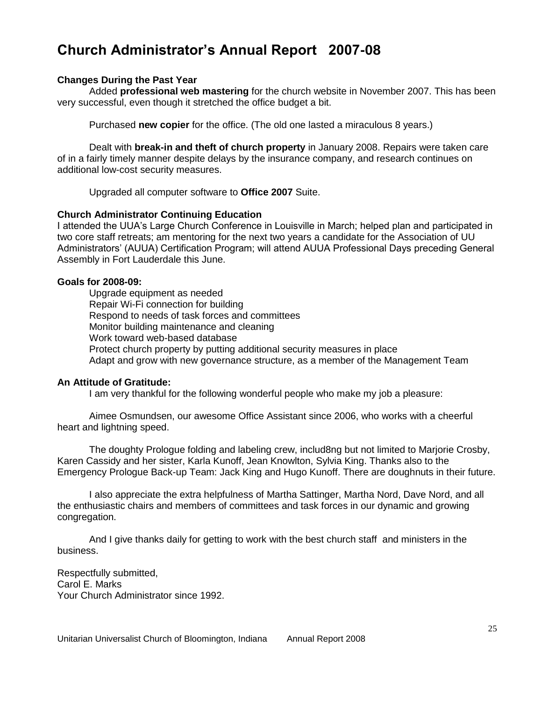# **Church Administrator's Annual Report 2007-08**

#### **Changes During the Past Year**

Added **professional web mastering** for the church website in November 2007. This has been very successful, even though it stretched the office budget a bit.

Purchased **new copier** for the office. (The old one lasted a miraculous 8 years.)

Dealt with **break-in and theft of church property** in January 2008. Repairs were taken care of in a fairly timely manner despite delays by the insurance company, and research continues on additional low-cost security measures.

Upgraded all computer software to **Office 2007** Suite.

#### **Church Administrator Continuing Education**

I attended the UUA's Large Church Conference in Louisville in March; helped plan and participated in two core staff retreats; am mentoring for the next two years a candidate for the Association of UU Administrators' (AUUA) Certification Program; will attend AUUA Professional Days preceding General Assembly in Fort Lauderdale this June.

#### **Goals for 2008-09:**

Upgrade equipment as needed Repair Wi-Fi connection for building Respond to needs of task forces and committees Monitor building maintenance and cleaning Work toward web-based database Protect church property by putting additional security measures in place Adapt and grow with new governance structure, as a member of the Management Team

#### **An Attitude of Gratitude:**

I am very thankful for the following wonderful people who make my job a pleasure:

Aimee Osmundsen, our awesome Office Assistant since 2006, who works with a cheerful heart and lightning speed.

The doughty Prologue folding and labeling crew, includ8ng but not limited to Marjorie Crosby, Karen Cassidy and her sister, Karla Kunoff, Jean Knowlton, Sylvia King. Thanks also to the Emergency Prologue Back-up Team: Jack King and Hugo Kunoff. There are doughnuts in their future.

I also appreciate the extra helpfulness of Martha Sattinger, Martha Nord, Dave Nord, and all the enthusiastic chairs and members of committees and task forces in our dynamic and growing congregation.

And I give thanks daily for getting to work with the best church staff and ministers in the business.

Respectfully submitted, Carol E. Marks Your Church Administrator since 1992.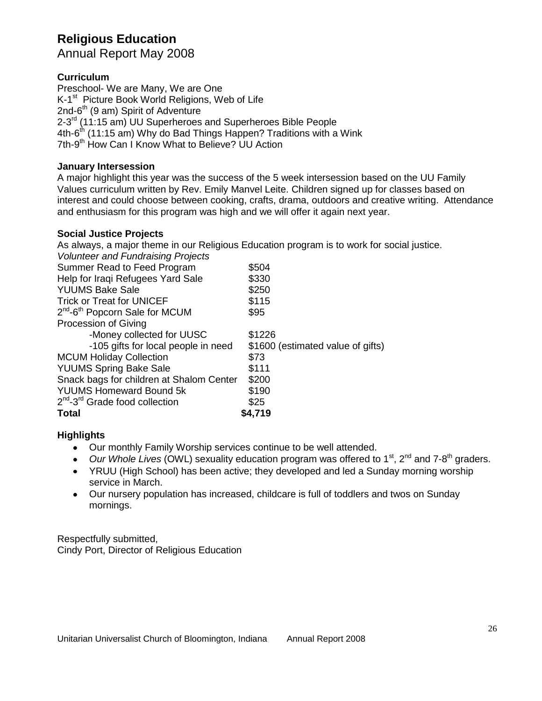# **Religious Education**

Annual Report May 2008

# **Curriculum**

Preschool- We are Many, We are One K-1<sup>st</sup> Picture Book World Religions, Web of Life 2nd-6<sup>th</sup> (9 am) Spirit of Adventure 2-3<sup>rd</sup> (11:15 am) UU Superheroes and Superheroes Bible People 4th-6<sup>th</sup> (11:15 am) Why do Bad Things Happen? Traditions with a Wink 7th-9<sup>th</sup> How Can I Know What to Believe? UU Action

# **January Intersession**

A major highlight this year was the success of the 5 week intersession based on the UU Family Values curriculum written by Rev. Emily Manvel Leite. Children signed up for classes based on interest and could choose between cooking, crafts, drama, outdoors and creative writing. Attendance and enthusiasm for this program was high and we will offer it again next year.

# **Social Justice Projects**

As always, a major theme in our Religious Education program is to work for social justice.

| <b>Total</b>                                           | \$4,719                           |
|--------------------------------------------------------|-----------------------------------|
| 2 <sup>nd</sup> -3 <sup>rd</sup> Grade food collection | \$25                              |
| <b>YUUMS Homeward Bound 5k</b>                         | \$190                             |
| Snack bags for children at Shalom Center               | \$200                             |
| <b>YUUMS Spring Bake Sale</b>                          | \$111                             |
| <b>MCUM Holiday Collection</b>                         | \$73                              |
| -105 gifts for local people in need                    | \$1600 (estimated value of gifts) |
| -Money collected for UUSC                              | \$1226                            |
| Procession of Giving                                   |                                   |
| 2 <sup>nd</sup> -6 <sup>th</sup> Popcorn Sale for MCUM | \$95                              |
| <b>Trick or Treat for UNICEF</b>                       | \$115                             |
| <b>YUUMS Bake Sale</b>                                 | \$250                             |
| Help for Iraqi Refugees Yard Sale                      | \$330                             |
| Summer Read to Feed Program                            | \$504                             |
| <b>Volunteer and Fundraising Projects</b>              |                                   |

# **Highlights**

- Our monthly Family Worship services continue to be well attended.
- Our Whole Lives (OWL) sexuality education program was offered to 1<sup>st</sup>, 2<sup>nd</sup> and 7-8<sup>th</sup> graders.
- YRUU (High School) has been active; they developed and led a Sunday morning worship service in March.
- Our nursery population has increased, childcare is full of toddlers and twos on Sunday mornings.

Respectfully submitted, Cindy Port, Director of Religious Education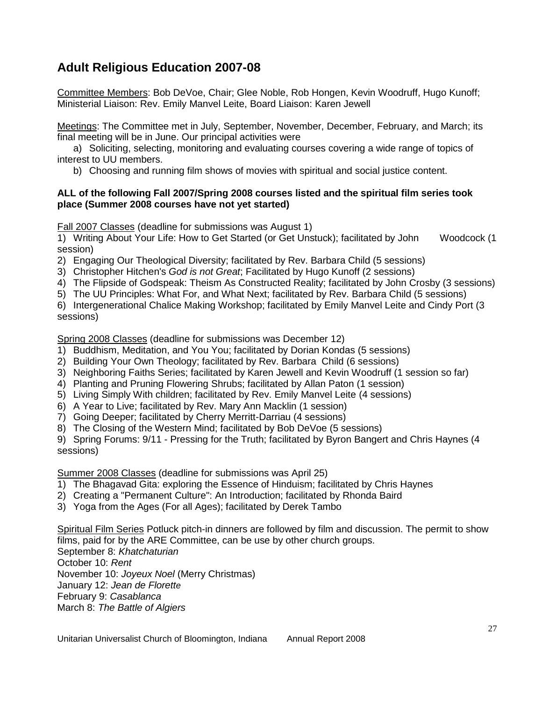# **Adult Religious Education 2007-08**

Committee Members: Bob DeVoe, Chair; Glee Noble, Rob Hongen, Kevin Woodruff, Hugo Kunoff; Ministerial Liaison: Rev. Emily Manvel Leite, Board Liaison: Karen Jewell

Meetings: The Committee met in July, September, November, December, February, and March; its final meeting will be in June. Our principal activities were

a) Soliciting, selecting, monitoring and evaluating courses covering a wide range of topics of interest to UU members.

b) Choosing and running film shows of movies with spiritual and social justice content.

### **ALL of the following Fall 2007/Spring 2008 courses listed and the spiritual film series took place (Summer 2008 courses have not yet started)**

Fall 2007 Classes (deadline for submissions was August 1)

1) Writing About Your Life: How to Get Started (or Get Unstuck); facilitated by John Woodcock (1 session)

- 2) Engaging Our Theological Diversity; facilitated by Rev. Barbara Child (5 sessions)
- 3) Christopher Hitchen's *God is not Great*; Facilitated by Hugo Kunoff (2 sessions)
- 4) The Flipside of Godspeak: Theism As Constructed Reality; facilitated by John Crosby (3 sessions)
- 5) The UU Principles: What For, and What Next; facilitated by Rev. Barbara Child (5 sessions)

6) Intergenerational Chalice Making Workshop; facilitated by Emily Manvel Leite and Cindy Port (3 sessions)

Spring 2008 Classes (deadline for submissions was December 12)

- 1) Buddhism, Meditation, and You You; facilitated by Dorian Kondas (5 sessions)
- 2) Building Your Own Theology; facilitated by Rev. Barbara Child (6 sessions)
- 3) Neighboring Faiths Series; facilitated by Karen Jewell and Kevin Woodruff (1 session so far)
- 4) Planting and Pruning Flowering Shrubs; facilitated by Allan Paton (1 session)
- 5) Living Simply With children; facilitated by Rev. Emily Manvel Leite (4 sessions)
- 6) A Year to Live; facilitated by Rev. Mary Ann Macklin (1 session)
- 7) Going Deeper; facilitated by Cherry Merritt-Darriau (4 sessions)
- 8) The Closing of the Western Mind; facilitated by Bob DeVoe (5 sessions)

9) Spring Forums: 9/11 - Pressing for the Truth; facilitated by Byron Bangert and Chris Haynes (4 sessions)

Summer 2008 Classes (deadline for submissions was April 25)

- 1) The Bhagavad Gita: exploring the Essence of Hinduism; facilitated by Chris Haynes
- 2) Creating a "Permanent Culture": An Introduction; facilitated by Rhonda Baird
- 3) Yoga from the Ages (For all Ages); facilitated by Derek Tambo

Spiritual Film Series Potluck pitch-in dinners are followed by film and discussion. The permit to show films, paid for by the ARE Committee, can be use by other church groups.

September 8: *Khatchaturian* October 10: *Rent* November 10: *Joyeux Noel* (Merry Christmas) January 12: *Jean de Florette* February 9: *Casablanca* March 8: *The Battle of Algiers*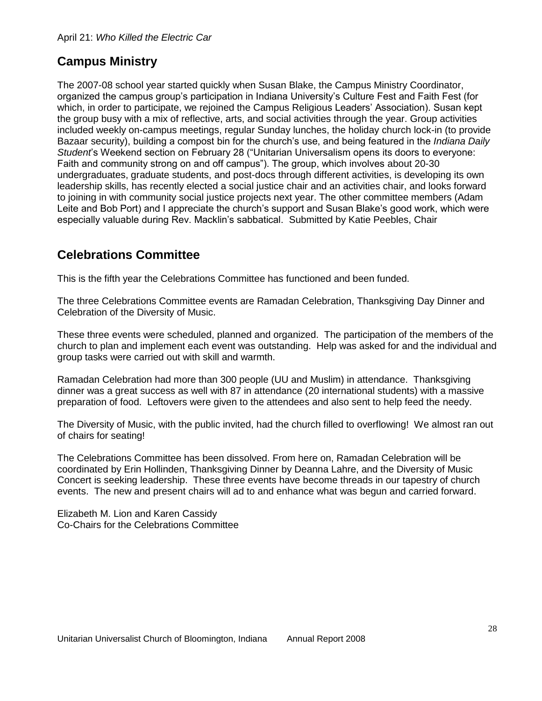# **Campus Ministry**

The 2007-08 school year started quickly when Susan Blake, the Campus Ministry Coordinator, organized the campus group's participation in Indiana University's Culture Fest and Faith Fest (for which, in order to participate, we rejoined the Campus Religious Leaders' Association). Susan kept the group busy with a mix of reflective, arts, and social activities through the year. Group activities included weekly on-campus meetings, regular Sunday lunches, the holiday church lock-in (to provide Bazaar security), building a compost bin for the church's use, and being featured in the *Indiana Daily*  Student<sup>'</sup>s Weekend section on February 28 ("Unitarian Universalism opens its doors to everyone: Faith and community strong on and off campus"). The group, which involves about 20-30 undergraduates, graduate students, and post-docs through different activities, is developing its own leadership skills, has recently elected a social justice chair and an activities chair, and looks forward to joining in with community social justice projects next year. The other committee members (Adam Leite and Bob Port) and I appreciate the church's support and Susan Blake's good work, which were especially valuable during Rev. Macklin's sabbatical. Submitted by Katie Peebles, Chair

# **Celebrations Committee**

This is the fifth year the Celebrations Committee has functioned and been funded.

The three Celebrations Committee events are Ramadan Celebration, Thanksgiving Day Dinner and Celebration of the Diversity of Music.

These three events were scheduled, planned and organized. The participation of the members of the church to plan and implement each event was outstanding. Help was asked for and the individual and group tasks were carried out with skill and warmth.

Ramadan Celebration had more than 300 people (UU and Muslim) in attendance. Thanksgiving dinner was a great success as well with 87 in attendance (20 international students) with a massive preparation of food. Leftovers were given to the attendees and also sent to help feed the needy.

The Diversity of Music, with the public invited, had the church filled to overflowing! We almost ran out of chairs for seating!

The Celebrations Committee has been dissolved. From here on, Ramadan Celebration will be coordinated by Erin Hollinden, Thanksgiving Dinner by Deanna Lahre, and the Diversity of Music Concert is seeking leadership. These three events have become threads in our tapestry of church events. The new and present chairs will ad to and enhance what was begun and carried forward.

Elizabeth M. Lion and Karen Cassidy Co-Chairs for the Celebrations Committee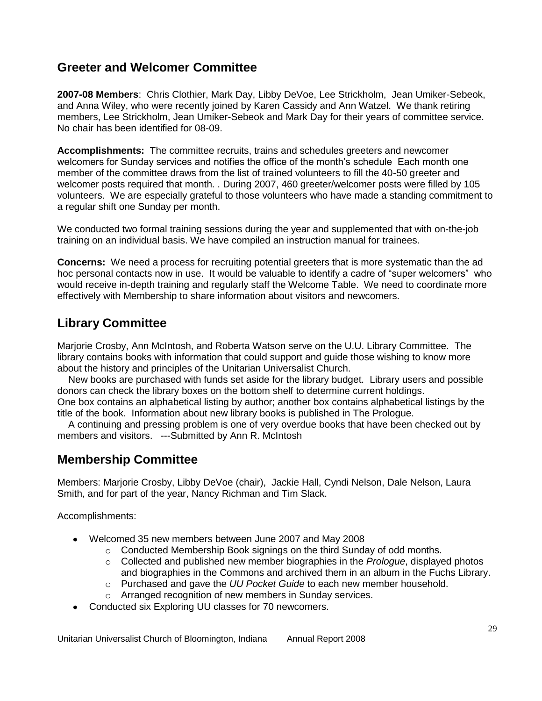# **Greeter and Welcomer Committee**

**2007-08 Members**: Chris Clothier, Mark Day, Libby DeVoe, Lee Strickholm, Jean Umiker-Sebeok, and Anna Wiley, who were recently joined by Karen Cassidy and Ann Watzel. We thank retiring members, Lee Strickholm, Jean Umiker-Sebeok and Mark Day for their years of committee service. No chair has been identified for 08-09.

**Accomplishments:** The committee recruits, trains and schedules greeters and newcomer welcomers for Sunday services and notifies the office of the month's schedule Each month one member of the committee draws from the list of trained volunteers to fill the 40-50 greeter and welcomer posts required that month. . During 2007, 460 greeter/welcomer posts were filled by 105 volunteers. We are especially grateful to those volunteers who have made a standing commitment to a regular shift one Sunday per month.

We conducted two formal training sessions during the year and supplemented that with on-the-job training on an individual basis. We have compiled an instruction manual for trainees.

**Concerns:** We need a process for recruiting potential greeters that is more systematic than the ad hoc personal contacts now in use. It would be valuable to identify a cadre of "super welcomers" who would receive in-depth training and regularly staff the Welcome Table. We need to coordinate more effectively with Membership to share information about visitors and newcomers.

# **Library Committee**

Marjorie Crosby, Ann McIntosh, and Roberta Watson serve on the U.U. Library Committee. The library contains books with information that could support and guide those wishing to know more about the history and principles of the Unitarian Universalist Church.

 New books are purchased with funds set aside for the library budget. Library users and possible donors can check the library boxes on the bottom shelf to determine current holdings. One box contains an alphabetical listing by author; another box contains alphabetical listings by the

title of the book. Information about new library books is published in The Prologue. A continuing and pressing problem is one of very overdue books that have been checked out by members and visitors. ---Submitted by Ann R. McIntosh

# **Membership Committee**

Members: Marjorie Crosby, Libby DeVoe (chair), Jackie Hall, Cyndi Nelson, Dale Nelson, Laura Smith, and for part of the year, Nancy Richman and Tim Slack.

Accomplishments:

- Welcomed 35 new members between June 2007 and May 2008
	- o Conducted Membership Book signings on the third Sunday of odd months.
	- o Collected and published new member biographies in the *Prologue*, displayed photos and biographies in the Commons and archived them in an album in the Fuchs Library.
	- o Purchased and gave the *UU Pocket Guide* to each new member household.
	- o Arranged recognition of new members in Sunday services.
- Conducted six Exploring UU classes for 70 newcomers.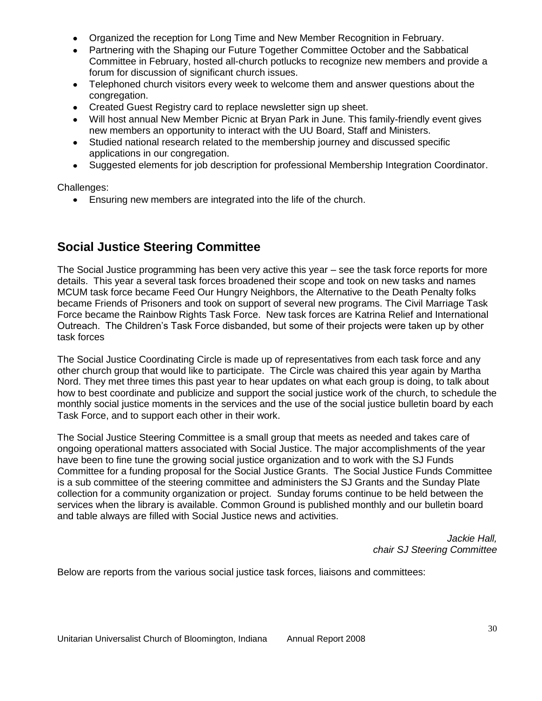- Organized the reception for Long Time and New Member Recognition in February.
- Partnering with the Shaping our Future Together Committee October and the Sabbatical Committee in February, hosted all-church potlucks to recognize new members and provide a forum for discussion of significant church issues.
- Telephoned church visitors every week to welcome them and answer questions about the congregation.
- Created Guest Registry card to replace newsletter sign up sheet.
- Will host annual New Member Picnic at Bryan Park in June. This family-friendly event gives new members an opportunity to interact with the UU Board, Staff and Ministers.
- Studied national research related to the membership journey and discussed specific applications in our congregation.
- Suggested elements for job description for professional Membership Integration Coordinator.

Challenges:

Ensuring new members are integrated into the life of the church.

# **Social Justice Steering Committee**

The Social Justice programming has been very active this year – see the task force reports for more details. This year a several task forces broadened their scope and took on new tasks and names MCUM task force became Feed Our Hungry Neighbors, the Alternative to the Death Penalty folks became Friends of Prisoners and took on support of several new programs. The Civil Marriage Task Force became the Rainbow Rights Task Force. New task forces are Katrina Relief and International Outreach. The Children's Task Force disbanded, but some of their projects were taken up by other task forces

The Social Justice Coordinating Circle is made up of representatives from each task force and any other church group that would like to participate. The Circle was chaired this year again by Martha Nord. They met three times this past year to hear updates on what each group is doing, to talk about how to best coordinate and publicize and support the social justice work of the church, to schedule the monthly social justice moments in the services and the use of the social justice bulletin board by each Task Force, and to support each other in their work.

The Social Justice Steering Committee is a small group that meets as needed and takes care of ongoing operational matters associated with Social Justice. The major accomplishments of the year have been to fine tune the growing social justice organization and to work with the SJ Funds Committee for a funding proposal for the Social Justice Grants. The Social Justice Funds Committee is a sub committee of the steering committee and administers the SJ Grants and the Sunday Plate collection for a community organization or project. Sunday forums continue to be held between the services when the library is available. Common Ground is published monthly and our bulletin board and table always are filled with Social Justice news and activities.

> *Jackie Hall, chair SJ Steering Committee*

Below are reports from the various social justice task forces, liaisons and committees: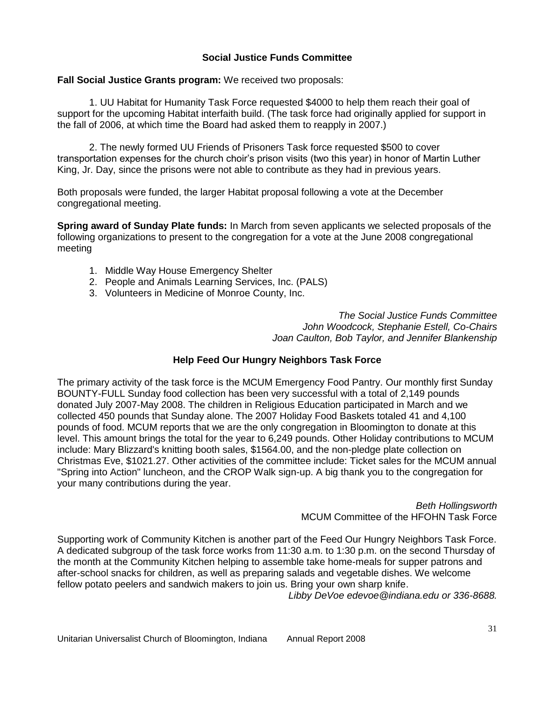# **Social Justice Funds Committee**

### **Fall Social Justice Grants program:** We received two proposals:

1. UU Habitat for Humanity Task Force requested \$4000 to help them reach their goal of support for the upcoming Habitat interfaith build. (The task force had originally applied for support in the fall of 2006, at which time the Board had asked them to reapply in 2007.)

2. The newly formed UU Friends of Prisoners Task force requested \$500 to cover transportation expenses for the church choir's prison visits (two this year) in honor of Martin Luther King, Jr. Day, since the prisons were not able to contribute as they had in previous years.

Both proposals were funded, the larger Habitat proposal following a vote at the December congregational meeting.

**Spring award of Sunday Plate funds:** In March from seven applicants we selected proposals of the following organizations to present to the congregation for a vote at the June 2008 congregational meeting

- 1. Middle Way House Emergency Shelter
- 2. People and Animals Learning Services, Inc. (PALS)
- 3. Volunteers in Medicine of Monroe County, Inc.

*The Social Justice Funds Committee John Woodcock, Stephanie Estell, Co-Chairs Joan Caulton, Bob Taylor, and Jennifer Blankenship*

# **Help Feed Our Hungry Neighbors Task Force**

The primary activity of the task force is the MCUM Emergency Food Pantry. Our monthly first Sunday BOUNTY-FULL Sunday food collection has been very successful with a total of 2,149 pounds donated July 2007-May 2008. The children in Religious Education participated in March and we collected 450 pounds that Sunday alone. The 2007 Holiday Food Baskets totaled 41 and 4,100 pounds of food. MCUM reports that we are the only congregation in Bloomington to donate at this level. This amount brings the total for the year to 6,249 pounds. Other Holiday contributions to MCUM include: Mary Blizzard's knitting booth sales, \$1564.00, and the non-pledge plate collection on Christmas Eve, \$1021.27. Other activities of the committee include: Ticket sales for the MCUM annual "Spring into Action" luncheon, and the CROP Walk sign-up. A big thank you to the congregation for your many contributions during the year.

> *Beth Hollingsworth* MCUM Committee of the HFOHN Task Force

Supporting work of Community Kitchen is another part of the Feed Our Hungry Neighbors Task Force. A dedicated subgroup of the task force works from 11:30 a.m. to 1:30 p.m. on the second Thursday of the month at the Community Kitchen helping to assemble take home-meals for supper patrons and after-school snacks for children, as well as preparing salads and vegetable dishes. We welcome fellow potato peelers and sandwich makers to join us. Bring your own sharp knife.

*Libby DeVoe edevoe@indiana.edu or 336-8688.*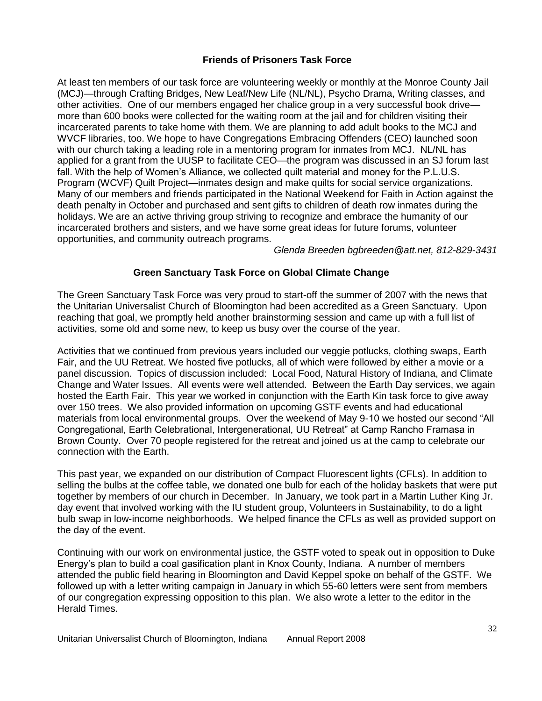## **Friends of Prisoners Task Force**

At least ten members of our task force are volunteering weekly or monthly at the Monroe County Jail (MCJ)—through Crafting Bridges, New Leaf/New Life (NL/NL), Psycho Drama, Writing classes, and other activities. One of our members engaged her chalice group in a very successful book drive more than 600 books were collected for the waiting room at the jail and for children visiting their incarcerated parents to take home with them. We are planning to add adult books to the MCJ and WVCF libraries, too. We hope to have Congregations Embracing Offenders (CEO) launched soon with our church taking a leading role in a mentoring program for inmates from MCJ. NL/NL has applied for a grant from the UUSP to facilitate CEO—the program was discussed in an SJ forum last fall. With the help of Women's Alliance, we collected quilt material and money for the P.L.U.S. Program (WCVF) Quilt Project—inmates design and make quilts for social service organizations. Many of our members and friends participated in the National Weekend for Faith in Action against the death penalty in October and purchased and sent gifts to children of death row inmates during the holidays. We are an active thriving group striving to recognize and embrace the humanity of our incarcerated brothers and sisters, and we have some great ideas for future forums, volunteer opportunities, and community outreach programs.

*Glenda Breeden bgbreeden@att.net, 812-829-3431*

# **Green Sanctuary Task Force on Global Climate Change**

The Green Sanctuary Task Force was very proud to start-off the summer of 2007 with the news that the Unitarian Universalist Church of Bloomington had been accredited as a Green Sanctuary. Upon reaching that goal, we promptly held another brainstorming session and came up with a full list of activities, some old and some new, to keep us busy over the course of the year.

Activities that we continued from previous years included our veggie potlucks, clothing swaps, Earth Fair, and the UU Retreat. We hosted five potlucks, all of which were followed by either a movie or a panel discussion. Topics of discussion included: Local Food, Natural History of Indiana, and Climate Change and Water Issues. All events were well attended. Between the Earth Day services, we again hosted the Earth Fair. This year we worked in conjunction with the Earth Kin task force to give away over 150 trees. We also provided information on upcoming GSTF events and had educational materials from local environmental groups. Over the weekend of May 9-10 we hosted our second "All Congregational, Earth Celebrational, Intergenerational, UU Retreat" at Camp Rancho Framasa in Brown County. Over 70 people registered for the retreat and joined us at the camp to celebrate our connection with the Earth.

This past year, we expanded on our distribution of Compact Fluorescent lights (CFLs). In addition to selling the bulbs at the coffee table, we donated one bulb for each of the holiday baskets that were put together by members of our church in December. In January, we took part in a Martin Luther King Jr. day event that involved working with the IU student group, Volunteers in Sustainability, to do a light bulb swap in low-income neighborhoods. We helped finance the CFLs as well as provided support on the day of the event.

Continuing with our work on environmental justice, the GSTF voted to speak out in opposition to Duke Energy's plan to build a coal gasification plant in Knox County, Indiana. A number of members attended the public field hearing in Bloomington and David Keppel spoke on behalf of the GSTF. We followed up with a letter writing campaign in January in which 55-60 letters were sent from members of our congregation expressing opposition to this plan. We also wrote a letter to the editor in the Herald Times.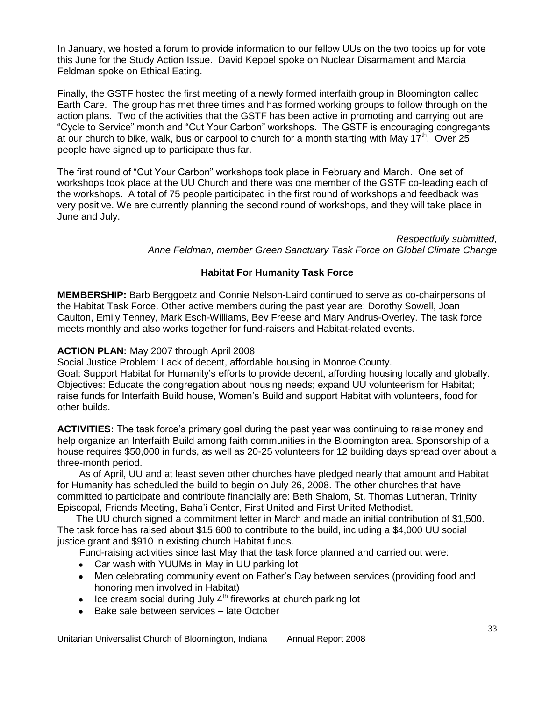In January, we hosted a forum to provide information to our fellow UUs on the two topics up for vote this June for the Study Action Issue. David Keppel spoke on Nuclear Disarmament and Marcia Feldman spoke on Ethical Eating.

Finally, the GSTF hosted the first meeting of a newly formed interfaith group in Bloomington called Earth Care. The group has met three times and has formed working groups to follow through on the action plans. Two of the activities that the GSTF has been active in promoting and carrying out are "Cycle to Service" month and "Cut Your Carbon" workshops. The GSTF is encouraging congregants at our church to bike, walk, bus or carpool to church for a month starting with May 17<sup>th</sup>. Over 25 people have signed up to participate thus far.

The first round of "Cut Your Carbon" workshops took place in February and March. One set of workshops took place at the UU Church and there was one member of the GSTF co-leading each of the workshops. A total of 75 people participated in the first round of workshops and feedback was very positive. We are currently planning the second round of workshops, and they will take place in June and July.

> *Respectfully submitted, Anne Feldman, member Green Sanctuary Task Force on Global Climate Change*

# **Habitat For Humanity Task Force**

**MEMBERSHIP:** Barb Berggoetz and Connie Nelson-Laird continued to serve as co-chairpersons of the Habitat Task Force. Other active members during the past year are: Dorothy Sowell, Joan Caulton, Emily Tenney, Mark Esch-Williams, Bev Freese and Mary Andrus-Overley. The task force meets monthly and also works together for fund-raisers and Habitat-related events.

### **ACTION PLAN:** May 2007 through April 2008

Social Justice Problem: Lack of decent, affordable housing in Monroe County. Goal: Support Habitat for Humanity's efforts to provide decent, affording housing locally and globally. Objectives: Educate the congregation about housing needs; expand UU volunteerism for Habitat; raise funds for Interfaith Build house, Women's Build and support Habitat with volunteers, food for other builds.

**ACTIVITIES:** The task force's primary goal during the past year was continuing to raise money and help organize an Interfaith Build among faith communities in the Bloomington area. Sponsorship of a house requires \$50,000 in funds, as well as 20-25 volunteers for 12 building days spread over about a three-month period.

 As of April, UU and at least seven other churches have pledged nearly that amount and Habitat for Humanity has scheduled the build to begin on July 26, 2008. The other churches that have committed to participate and contribute financially are: Beth Shalom, St. Thomas Lutheran, Trinity Episcopal, Friends Meeting, Baha'i Center, First United and First United Methodist.

 The UU church signed a commitment letter in March and made an initial contribution of \$1,500. The task force has raised about \$15,600 to contribute to the build, including a \$4,000 UU social justice grant and \$910 in existing church Habitat funds.

Fund-raising activities since last May that the task force planned and carried out were:

- Car wash with YUUMs in May in UU parking lot
- Men celebrating community event on Father's Day between services (providing food and  $\bullet$ honoring men involved in Habitat)
- $\bullet$  Ice cream social during July  $4<sup>th</sup>$  fireworks at church parking lot
- Bake sale between services late October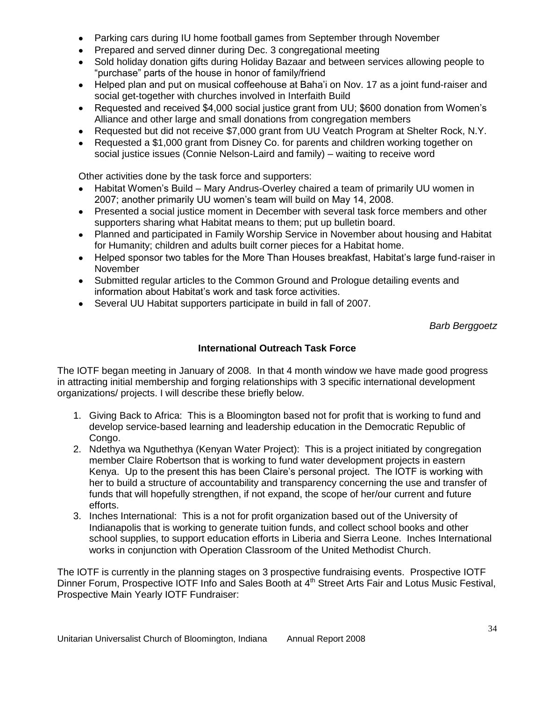- Parking cars during IU home football games from September through November
- Prepared and served dinner during Dec. 3 congregational meeting
- Sold holiday donation gifts during Holiday Bazaar and between services allowing people to  $\bullet$ "purchase" parts of the house in honor of family/friend
- Helped plan and put on musical coffeehouse at Baha'i on Nov. 17 as a joint fund-raiser and  $\bullet$ social get-together with churches involved in Interfaith Build
- Requested and received \$4,000 social justice grant from UU; \$600 donation from Women's  $\bullet$ Alliance and other large and small donations from congregation members
- Requested but did not receive \$7,000 grant from UU Veatch Program at Shelter Rock, N.Y.
- Requested a \$1,000 grant from Disney Co. for parents and children working together on social justice issues (Connie Nelson-Laird and family) – waiting to receive word

Other activities done by the task force and supporters:

- Habitat Women's Build Mary Andrus-Overley chaired a team of primarily UU women in 2007; another primarily UU women's team will build on May 14, 2008.
- Presented a social justice moment in December with several task force members and other supporters sharing what Habitat means to them; put up bulletin board.
- Planned and participated in Family Worship Service in November about housing and Habitat  $\bullet$ for Humanity; children and adults built corner pieces for a Habitat home.
- Helped sponsor two tables for the More Than Houses breakfast, Habitat's large fund-raiser in  $\bullet$ November
- Submitted regular articles to the Common Ground and Prologue detailing events and information about Habitat's work and task force activities.
- Several UU Habitat supporters participate in build in fall of 2007.

*Barb Berggoetz*

# **International Outreach Task Force**

The IOTF began meeting in January of 2008. In that 4 month window we have made good progress in attracting initial membership and forging relationships with 3 specific international development organizations/ projects. I will describe these briefly below.

- 1. Giving Back to Africa: This is a Bloomington based not for profit that is working to fund and develop service-based learning and leadership education in the Democratic Republic of Congo.
- 2. Ndethya wa Nguthethya (Kenyan Water Project): This is a project initiated by congregation member Claire Robertson that is working to fund water development projects in eastern Kenya. Up to the present this has been Claire's personal project. The IOTF is working with her to build a structure of accountability and transparency concerning the use and transfer of funds that will hopefully strengthen, if not expand, the scope of her/our current and future efforts.
- 3. Inches International: This is a not for profit organization based out of the University of Indianapolis that is working to generate tuition funds, and collect school books and other school supplies, to support education efforts in Liberia and Sierra Leone. Inches International works in conjunction with Operation Classroom of the United Methodist Church.

The IOTF is currently in the planning stages on 3 prospective fundraising events. Prospective IOTF Dinner Forum, Prospective IOTF Info and Sales Booth at 4<sup>th</sup> Street Arts Fair and Lotus Music Festival, Prospective Main Yearly IOTF Fundraiser: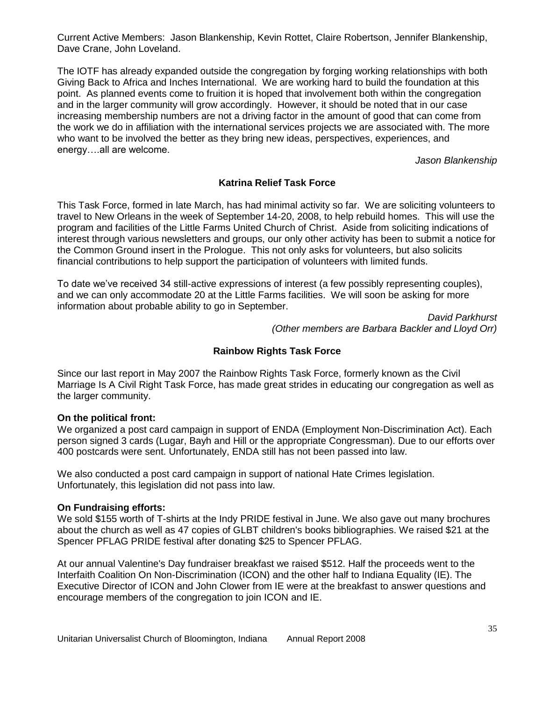Current Active Members: Jason Blankenship, Kevin Rottet, Claire Robertson, Jennifer Blankenship, Dave Crane, John Loveland.

The IOTF has already expanded outside the congregation by forging working relationships with both Giving Back to Africa and Inches International. We are working hard to build the foundation at this point. As planned events come to fruition it is hoped that involvement both within the congregation and in the larger community will grow accordingly. However, it should be noted that in our case increasing membership numbers are not a driving factor in the amount of good that can come from the work we do in affiliation with the international services projects we are associated with. The more who want to be involved the better as they bring new ideas, perspectives, experiences, and energy….all are welcome.

*Jason Blankenship*

### **Katrina Relief Task Force**

This Task Force, formed in late March, has had minimal activity so far. We are soliciting volunteers to travel to New Orleans in the week of September 14-20, 2008, to help rebuild homes. This will use the program and facilities of the Little Farms United Church of Christ. Aside from soliciting indications of interest through various newsletters and groups, our only other activity has been to submit a notice for the Common Ground insert in the Prologue. This not only asks for volunteers, but also solicits financial contributions to help support the participation of volunteers with limited funds.

To date we've received 34 still-active expressions of interest (a few possibly representing couples), and we can only accommodate 20 at the Little Farms facilities. We will soon be asking for more information about probable ability to go in September.

> *David Parkhurst (Other members are Barbara Backler and Lloyd Orr)*

#### **Rainbow Rights Task Force**

Since our last report in May 2007 the Rainbow Rights Task Force, formerly known as the Civil Marriage Is A Civil Right Task Force, has made great strides in educating our congregation as well as the larger community.

#### **On the political front:**

We organized a post card campaign in support of ENDA (Employment Non-Discrimination Act). Each person signed 3 cards (Lugar, Bayh and Hill or the appropriate Congressman). Due to our efforts over 400 postcards were sent. Unfortunately, ENDA still has not been passed into law.

We also conducted a post card campaign in support of national Hate Crimes legislation. Unfortunately, this legislation did not pass into law.

#### **On Fundraising efforts:**

We sold \$155 worth of T-shirts at the Indy PRIDE festival in June. We also gave out many brochures about the church as well as 47 copies of GLBT children's books bibliographies. We raised \$21 at the Spencer PFLAG PRIDE festival after donating \$25 to Spencer PFLAG.

At our annual Valentine's Day fundraiser breakfast we raised \$512. Half the proceeds went to the Interfaith Coalition On Non-Discrimination (ICON) and the other half to Indiana Equality (IE). The Executive Director of ICON and John Clower from IE were at the breakfast to answer questions and encourage members of the congregation to join ICON and IE.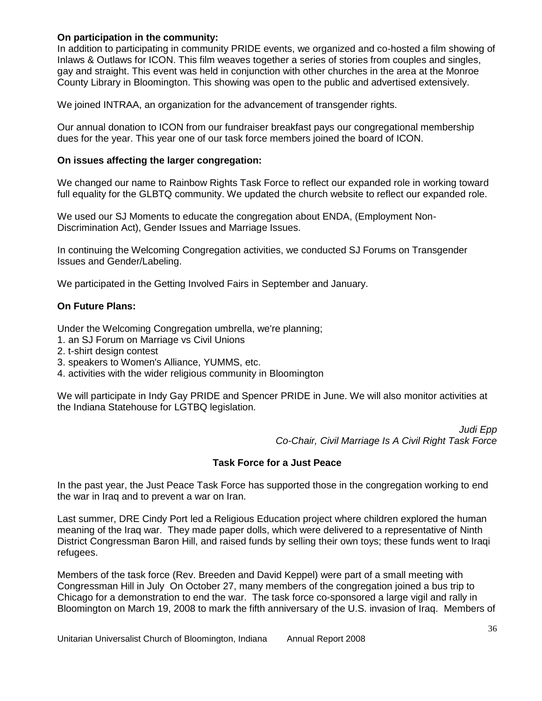### **On participation in the community:**

In addition to participating in community PRIDE events, we organized and co-hosted a film showing of Inlaws & Outlaws for ICON. This film weaves together a series of stories from couples and singles, gay and straight. This event was held in conjunction with other churches in the area at the Monroe County Library in Bloomington. This showing was open to the public and advertised extensively.

We joined INTRAA, an organization for the advancement of transgender rights.

Our annual donation to ICON from our fundraiser breakfast pays our congregational membership dues for the year. This year one of our task force members joined the board of ICON.

#### **On issues affecting the larger congregation:**

We changed our name to Rainbow Rights Task Force to reflect our expanded role in working toward full equality for the GLBTQ community. We updated the church website to reflect our expanded role.

We used our SJ Moments to educate the congregation about ENDA, (Employment Non-Discrimination Act), Gender Issues and Marriage Issues.

In continuing the Welcoming Congregation activities, we conducted SJ Forums on Transgender Issues and Gender/Labeling.

We participated in the Getting Involved Fairs in September and January.

#### **On Future Plans:**

Under the Welcoming Congregation umbrella, we're planning;

- 1. an SJ Forum on Marriage vs Civil Unions
- 2. t-shirt design contest
- 3. speakers to Women's Alliance, YUMMS, etc.
- 4. activities with the wider religious community in Bloomington

We will participate in Indy Gay PRIDE and Spencer PRIDE in June. We will also monitor activities at the Indiana Statehouse for LGTBQ legislation.

> *Judi Epp Co-Chair, Civil Marriage Is A Civil Right Task Force*

### **Task Force for a Just Peace**

In the past year, the Just Peace Task Force has supported those in the congregation working to end the war in Iraq and to prevent a war on Iran.

Last summer, DRE Cindy Port led a Religious Education project where children explored the human meaning of the Iraq war. They made paper dolls, which were delivered to a representative of Ninth District Congressman Baron Hill, and raised funds by selling their own toys; these funds went to Iraqi refugees.

Members of the task force (Rev. Breeden and David Keppel) were part of a small meeting with Congressman Hill in July On October 27, many members of the congregation joined a bus trip to Chicago for a demonstration to end the war. The task force co-sponsored a large vigil and rally in Bloomington on March 19, 2008 to mark the fifth anniversary of the U.S. invasion of Iraq. Members of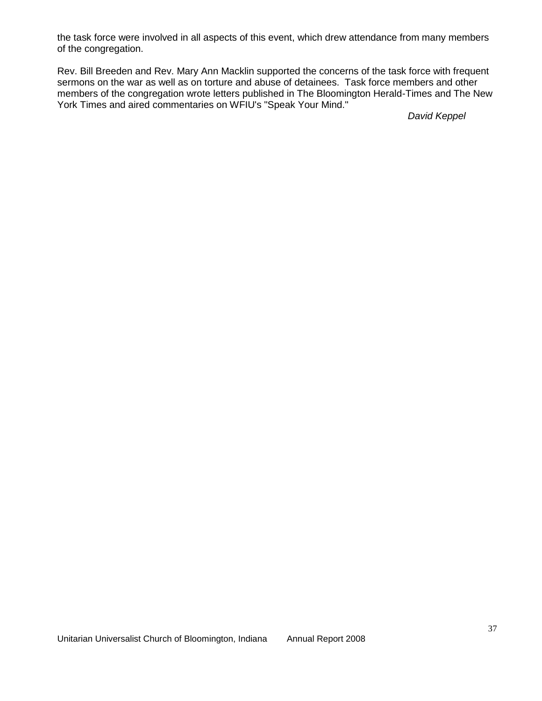the task force were involved in all aspects of this event, which drew attendance from many members of the congregation.

Rev. Bill Breeden and Rev. Mary Ann Macklin supported the concerns of the task force with frequent sermons on the war as well as on torture and abuse of detainees. Task force members and other members of the congregation wrote letters published in The Bloomington Herald-Times and The New York Times and aired commentaries on WFIU's "Speak Your Mind."

*David Keppel*